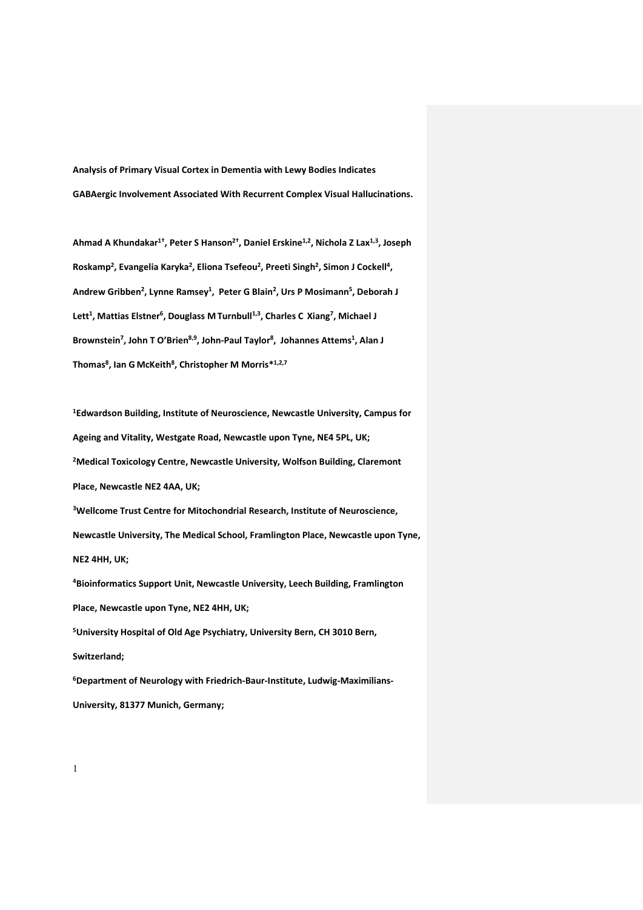**Analysis of Primary Visual Cortex in Dementia with Lewy Bodies Indicates GABAergic Involvement Associated With Recurrent Complex Visual Hallucinations.**

Ahmad A Khundakar<sup>1†</sup>, Peter S Hanson<sup>2†</sup>, Daniel Erskine<sup>1,2</sup>, Nichola Z Lax<sup>1,3</sup>, Joseph Roskamp<sup>2</sup>, Evangelia Karyka<sup>2</sup>, Eliona Tsefeou<sup>2</sup>, Preeti Singh<sup>2</sup>, Simon J Cockell<sup>4</sup>, **Andrew Gribben2, Lynne Ramsey1, Peter G Blain2, Urs P Mosimann5, Deborah J Lett1, Mattias Elstner6, Douglass M Turnbull1,3, Charles C Xiang7, Michael J** Brownstein<sup>7</sup>, John T O'Brien<sup>8,9</sup>, John-Paul Taylor<sup>8</sup>, Johannes Attems<sup>1</sup>, Alan J **Thomas8, Ian G McKeith8, Christopher M Morris\*1,2,7** 

**1Edwardson Building, Institute of Neuroscience, Newcastle University, Campus for Ageing and Vitality, Westgate Road, Newcastle upon Tyne, NE4 5PL, UK; 2Medical Toxicology Centre, Newcastle University, Wolfson Building, Claremont Place, Newcastle NE2 4AA, UK;** 

**3Wellcome Trust Centre for Mitochondrial Research, Institute of Neuroscience, Newcastle University, The Medical School, Framlington Place, Newcastle upon Tyne, NE2 4HH, UK;**

**4Bioinformatics Support Unit, Newcastle University, Leech Building, Framlington Place, Newcastle upon Tyne, NE2 4HH, UK; 5University Hospital of Old Age Psychiatry, University Bern, CH 3010 Bern,** 

**Switzerland;** 

**6Department of Neurology with Friedrich-Baur-Institute, Ludwig-Maximilians-University, 81377 Munich, Germany;**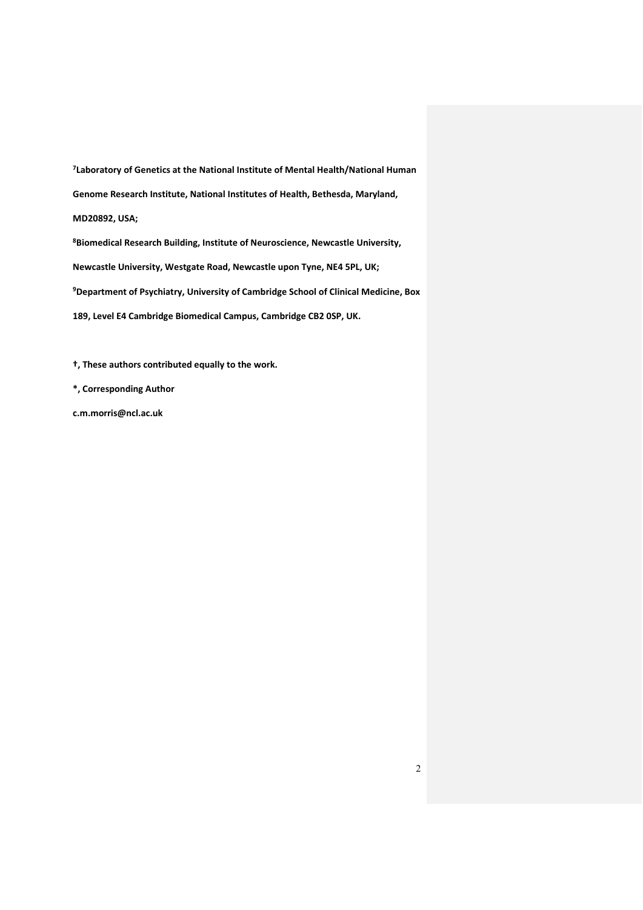**7Laboratory of Genetics at the National Institute of Mental Health/National Human Genome Research Institute, National Institutes of Health, Bethesda, Maryland, MD20892, USA;** 

**8Biomedical Research Building, Institute of Neuroscience, Newcastle University, Newcastle University, Westgate Road, Newcastle upon Tyne, NE4 5PL, UK; 9Department of Psychiatry, University of Cambridge School of Clinical Medicine, Box 189, Level E4 Cambridge Biomedical Campus, Cambridge CB2 0SP, UK.**

**†, These authors contributed equally to the work.** 

**\*, Corresponding Author**

**c.m.morris@ncl.ac.uk**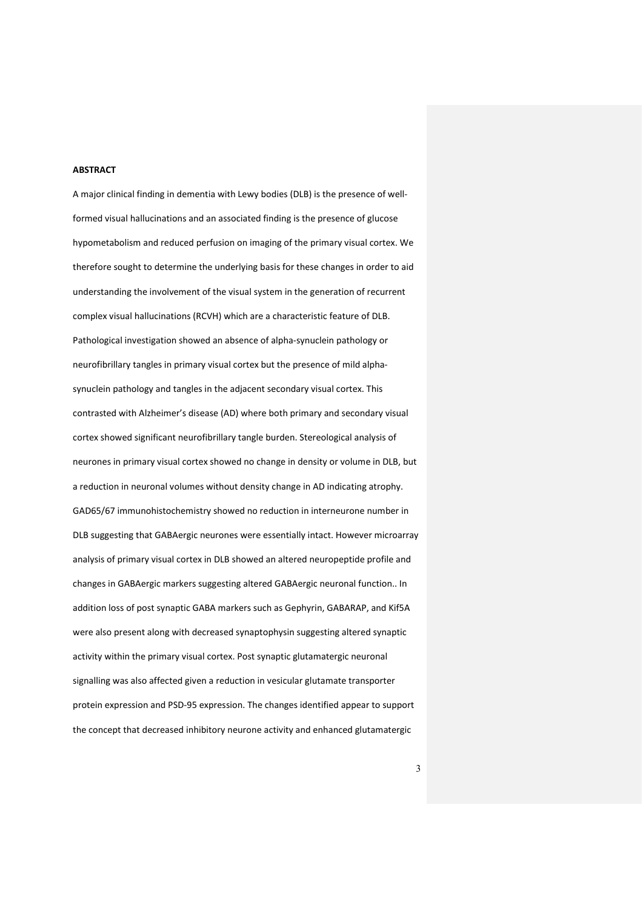### **ABSTRACT**

A major clinical finding in dementia with Lewy bodies (DLB) is the presence of wellformed visual hallucinations and an associated finding is the presence of glucose hypometabolism and reduced perfusion on imaging of the primary visual cortex. We therefore sought to determine the underlying basis for these changes in order to aid understanding the involvement of the visual system in the generation of recurrent complex visual hallucinations (RCVH) which are a characteristic feature of DLB. Pathological investigation showed an absence of alpha-synuclein pathology or neurofibrillary tangles in primary visual cortex but the presence of mild alphasynuclein pathology and tangles in the adjacent secondary visual cortex. This contrasted with Alzheimer's disease (AD) where both primary and secondary visual cortex showed significant neurofibrillary tangle burden. Stereological analysis of neurones in primary visual cortex showed no change in density or volume in DLB, but a reduction in neuronal volumes without density change in AD indicating atrophy. GAD65/67 immunohistochemistry showed no reduction in interneurone number in DLB suggesting that GABAergic neurones were essentially intact. However microarray analysis of primary visual cortex in DLB showed an altered neuropeptide profile and changes in GABAergic markers suggesting altered GABAergic neuronal function.. In addition loss of post synaptic GABA markers such as Gephyrin, GABARAP, and Kif5A were also present along with decreased synaptophysin suggesting altered synaptic activity within the primary visual cortex. Post synaptic glutamatergic neuronal signalling was also affected given a reduction in vesicular glutamate transporter protein expression and PSD-95 expression. The changes identified appear to support the concept that decreased inhibitory neurone activity and enhanced glutamatergic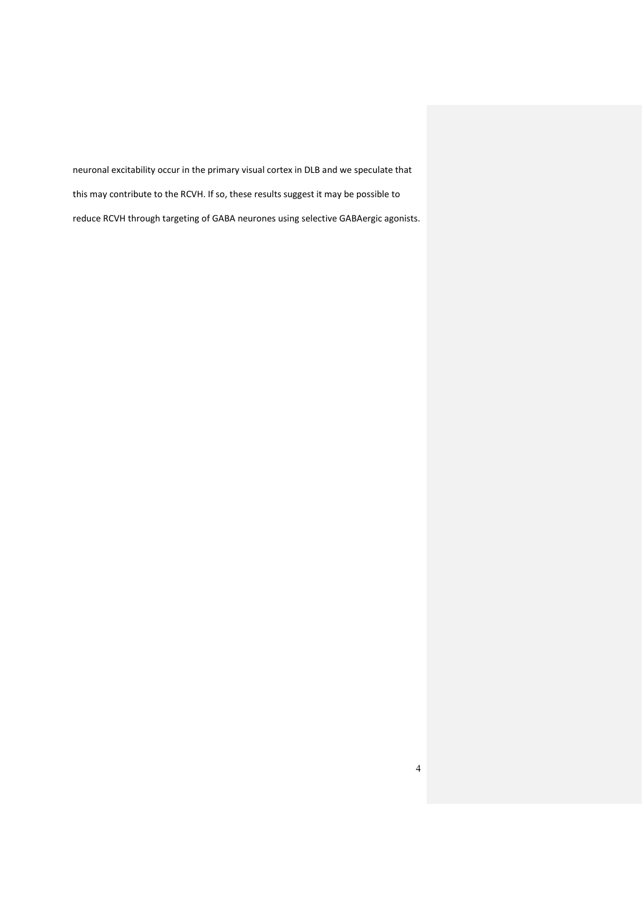neuronal excitability occur in the primary visual cortex in DLB and we speculate that this may contribute to the RCVH. If so, these results suggest it may be possible to reduce RCVH through targeting of GABA neurones using selective GABAergic agonists.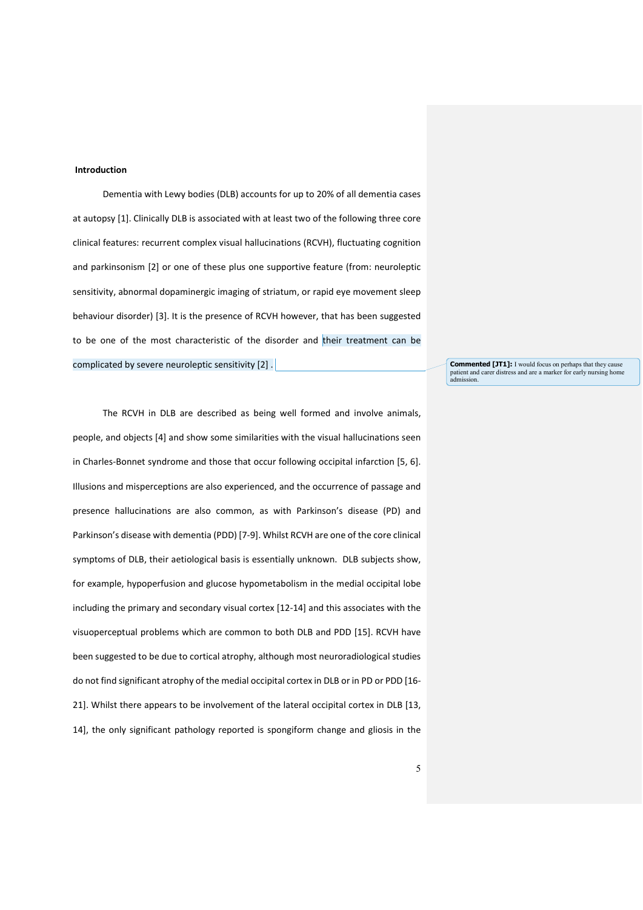### **Introduction**

Dementia with Lewy bodies (DLB) accounts for up to 20% of all dementia cases at autopsy [\[1\]](#page-26-0). Clinically DLB is associated with at least two of the following three core clinical features: recurrent complex visual hallucinations (RCVH), fluctuating cognition and parkinsonism [\[2\]](#page-26-1) or one of these plus one supportive feature (from: neuroleptic sensitivity, abnormal dopaminergic imaging of striatum, or rapid eye movement sleep behaviour disorder) [\[3\]](#page-26-2). It is the presence of RCVH however, that has been suggested to be one of the most characteristic of the disorder and their treatment can be complicated by severe neuroleptic sensitivity [\[2\]](#page-26-1) .

The RCVH in DLB are described as being well formed and involve animals, people, and objects [\[4\]](#page-26-3) and show some similarities with the visual hallucinations seen in Charles-Bonnet syndrome and those that occur following occipital infarction [\[5,](#page-26-4) [6\]](#page-26-5). Illusions and misperceptions are also experienced, and the occurrence of passage and presence hallucinations are also common, as with Parkinson's disease (PD) and Parkinson's disease with dementia (PDD) [\[7-9\]](#page-26-6). Whilst RCVH are one of the core clinical symptoms of DLB, their aetiological basis is essentially unknown. DLB subjects show, for example, hypoperfusion and glucose hypometabolism in the medial occipital lobe including the primary and secondary visual cortex [\[12-14\]](#page-26-7) and this associates with the visuoperceptual problems which are common to both DLB and PDD [\[15\]](#page-26-8). RCVH have been suggested to be due to cortical atrophy, although most neuroradiological studies do not find significant atrophy of the medial occipital cortex in DLB or in PD or PDD [\[16-](#page-26-9) [21\]](#page-26-9). Whilst there appears to be involvement of the lateral occipital cortex in DLB [\[13,](#page-26-10)  [14\]](#page-26-11), the only significant pathology reported is spongiform change and gliosis in the

**Commented [JT1]:** I would focus on perhaps that they cause patient and carer distress and are a marker for early nursing home admission.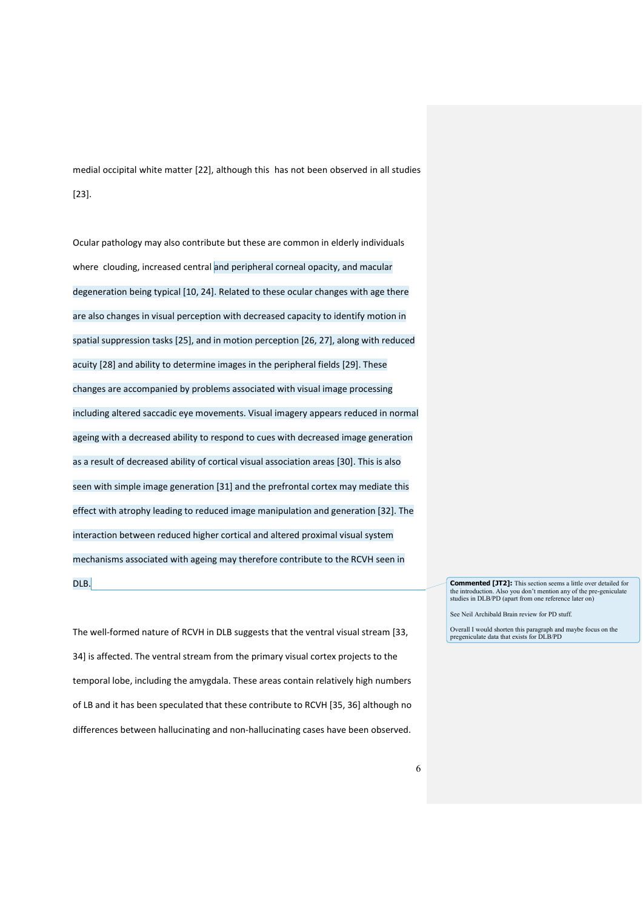medial occipital white matter [\[22\]](#page-27-0), although this has not been observed in all studies [\[23\]](#page-27-1).

Ocular pathology may also contribute but these are common in elderly individuals where clouding, increased central and peripheral corneal opacity, and macular degeneration being typical [\[10,](#page-26-12) [24\]](#page-27-2). Related to these ocular changes with age there are also changes in visual perception with decreased capacity to identify motion in spatial suppression tasks [\[25\]](#page-27-3), and in motion perception [\[26,](#page-27-4) [27\]](#page-27-5), along with reduced acuity [\[28\]](#page-27-6) and ability to determine images in the peripheral fields [\[29\]](#page-27-7). These changes are accompanied by problems associated with visual image processing including altered saccadic eye movements. Visual imagery appears reduced in normal ageing with a decreased ability to respond to cues with decreased image generation as a result of decreased ability of cortical visual association areas [\[30\]](#page-27-8). This is also seen with simple image generation [\[31\]](#page-27-9) and the prefrontal cortex may mediate this effect with atrophy leading to reduced image manipulation and generation [\[32\]](#page-27-10). The interaction between reduced higher cortical and altered proximal visual system mechanisms associated with ageing may therefore contribute to the RCVH seen in DLB.

The well-formed nature of RCVH in DLB suggests that the ventral visual stream [\[33,](#page-27-11) [34\]](#page-27-12) is affected. The ventral stream from the primary visual cortex projects to the temporal lobe, including the amygdala. These areas contain relatively high numbers of LB and it has been speculated that these contribute to RCVH [\[35,](#page-27-13) [36\]](#page-27-14) although no differences between hallucinating and non-hallucinating cases have been observed. **Commented [JT2]:** This section seems a little over detailed for the introduction. Also you don't mention any of the pre-geniculate Also you don't mention any of the pre-geniculate studies in DLB/PD (apart from one reference later on)

See Neil Archibald Brain review for PD stuff.

Overall I would shorten this paragraph and maybe focus on the pregeniculate data that exists for DLB/PD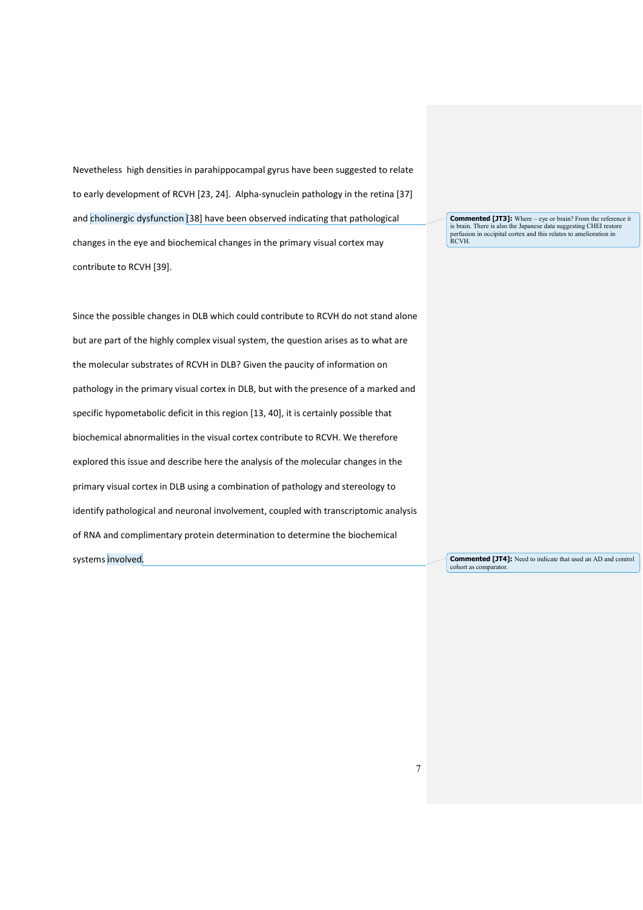Nevetheless high densities in parahippocampal gyrus have been suggested to relate to early development of RCVH [\[23,](#page-27-1) [24\]](#page-27-2). Alpha-synuclein pathology in the retina [\[37\]](#page-27-15) and cholinergic dysfunction [\[38\]](#page-27-16) have been observed indicating that pathological changes in the eye and biochemical changes in the primary visual cortex may contribute to RCVH [\[39\]](#page-27-17).

Since the possible changes in DLB which could contribute to RCVH do not stand alone but are part of the highly complex visual system, the question arises as to what are the molecular substrates of RCVH in DLB? Given the paucity of information on pathology in the primary visual cortex in DLB, but with the presence of a marked and specific hypometabolic deficit in this region [\[13,](#page-26-10) [40\]](#page-27-18), it is certainly possible that biochemical abnormalities in the visual cortex contribute to RCVH. We therefore explored this issue and describe here the analysis of the molecular changes in the primary visual cortex in DLB using a combination of pathology and stereology to identify pathological and neuronal involvement, coupled with transcriptomic analysis of RNA and complimentary protein determination to determine the biochemical systems involved.

**Commented [JT3]:** Where – eye or brain? From the reference it is brain. There is also the Japanese data suggesting CHEI restore perfusion in occipital cortex and this relates to amelioration in RCVH.

**Commented [JT4]:** Need to indicate that used an AD and control cohort as comparator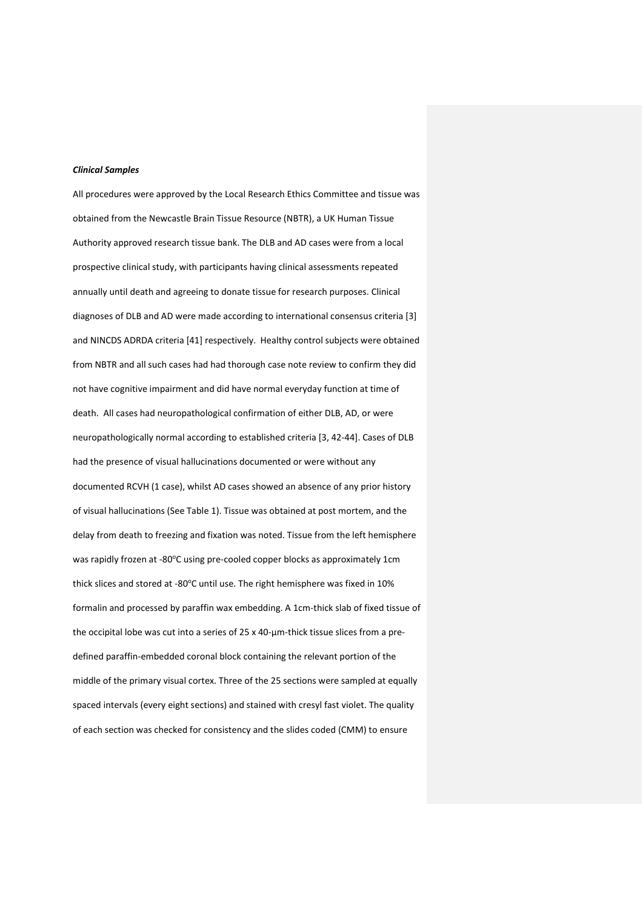## *Clinical Samples*

All procedures were approved by the Local Research Ethics Committee and tissue was obtained from the Newcastle Brain Tissue Resource (NBTR), a UK Human Tissue Authority approved research tissue bank. The DLB and AD cases were from a local prospective clinical study, with participants having clinical assessments repeated annually until death and agreeing to donate tissue for research purposes. Clinical diagnoses of DLB and AD were made according to international consensus criteria [\[3\]](#page-26-2) and NINCDS ADRDA criteria [\[41\]](#page-28-0) respectively. Healthy control subjects were obtained from NBTR and all such cases had had thorough case note review to confirm they did not have cognitive impairment and did have normal everyday function at time of death. All cases had neuropathological confirmation of either DLB, AD, or were neuropathologically normal according to established criteria [\[3,](#page-26-2) [42-44\]](#page-28-1). Cases of DLB had the presence of visual hallucinations documented or were without any documented RCVH (1 case), whilst AD cases showed an absence of any prior history of visual hallucinations (See Table 1). Tissue was obtained at post mortem, and the delay from death to freezing and fixation was noted. Tissue from the left hemisphere was rapidly frozen at -80°C using pre-cooled copper blocks as approximately 1cm thick slices and stored at -80°C until use. The right hemisphere was fixed in 10% formalin and processed by paraffin wax embedding. A 1cm-thick slab of fixed tissue of the occipital lobe was cut into a series of 25 x 40-µm-thick tissue slices from a predefined paraffin-embedded coronal block containing the relevant portion of the middle of the primary visual cortex. Three of the 25 sections were sampled at equally spaced intervals (every eight sections) and stained with cresyl fast violet. The quality of each section was checked for consistency and the slides coded (CMM) to ensure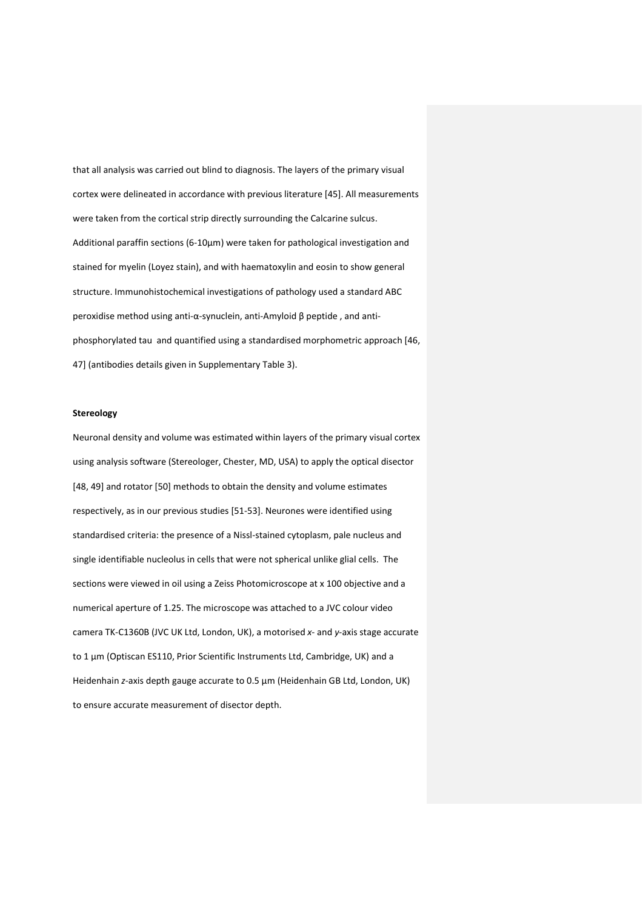that all analysis was carried out blind to diagnosis. The layers of the primary visual cortex were delineated in accordance with previous literature [\[45\]](#page-28-2). All measurements were taken from the cortical strip directly surrounding the Calcarine sulcus. Additional paraffin sections (6-10μm) were taken for pathological investigation and stained for myelin (Loyez stain), and with haematoxylin and eosin to show general structure. Immunohistochemical investigations of pathology used a standard ABC peroxidise method using anti-α-synuclein, anti-Amyloid β peptide , and antiphosphorylated tau and quantified using a standardised morphometric approach [\[46,](#page-28-3) [47\]](#page-28-4) (antibodies details given in Supplementary Table 3).

# **Stereology**

Neuronal density and volume was estimated within layers of the primary visual cortex using analysis software (Stereologer, Chester, MD, USA) to apply the optical disector [\[48,](#page-28-5) [49\]](#page-28-6) and rotator [\[50\]](#page-28-7) methods to obtain the density and volume estimates respectively, as in our previous studies [\[51-53\]](#page-28-8). Neurones were identified using standardised criteria: the presence of a Nissl-stained cytoplasm, pale nucleus and single identifiable nucleolus in cells that were not spherical unlike glial cells. The sections were viewed in oil using a Zeiss Photomicroscope at x 100 objective and a numerical aperture of 1.25. The microscope was attached to a JVC colour video camera TK-C1360B (JVC UK Ltd, London, UK), a motorised *x*- and *y*-axis stage accurate to 1 μm (Optiscan ES110, Prior Scientific Instruments Ltd, Cambridge, UK) and a Heidenhain *z*-axis depth gauge accurate to 0.5 μm (Heidenhain GB Ltd, London, UK) to ensure accurate measurement of disector depth.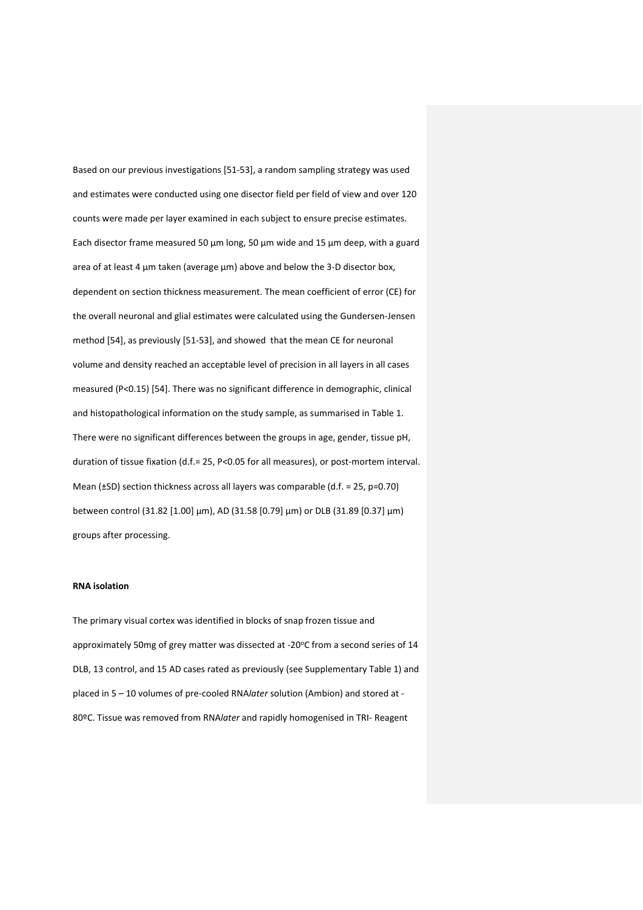Based on our previous investigations [\[51-53\]](#page-28-8), a random sampling strategy was used and estimates were conducted using one disector field per field of view and over 120 counts were made per layer examined in each subject to ensure precise estimates. Each disector frame measured 50 µm long, 50 µm wide and 15 µm deep, with a guard area of at least 4  $\mu$ m taken (average  $\mu$ m) above and below the 3-D disector box, dependent on section thickness measurement. The mean coefficient of error (CE) for the overall neuronal and glial estimates were calculated using the Gundersen-Jensen method [\[54\]](#page-28-9), as previously [\[51-53\]](#page-28-8), and showed that the mean CE for neuronal volume and density reached an acceptable level of precision in all layers in all cases measured (P<0.15) [\[54\]](#page-28-9). There was no significant difference in demographic, clinical and histopathological information on the study sample, as summarised in Table 1. There were no significant differences between the groups in age, gender, tissue pH, duration of tissue fixation (d.f.= 25, P<0.05 for all measures), or post-mortem interval. Mean (±SD) section thickness across all layers was comparable (d.f. = 25, p=0.70) between control (31.82 [1.00] µm), AD (31.58 [0.79] µm) or DLB (31.89 [0.37] µm) groups after processing.

# **RNA isolation**

The primary visual cortex was identified in blocks of snap frozen tissue and approximately 50mg of grey matter was dissected at -20°C from a second series of 14 DLB, 13 control, and 15 AD cases rated as previously (see Supplementary Table 1) and placed in 5 – 10 volumes of pre-cooled RNA*later* solution (Ambion) and stored at - 80ºC. Tissue was removed from RNA*later* and rapidly homogenised in TRI- Reagent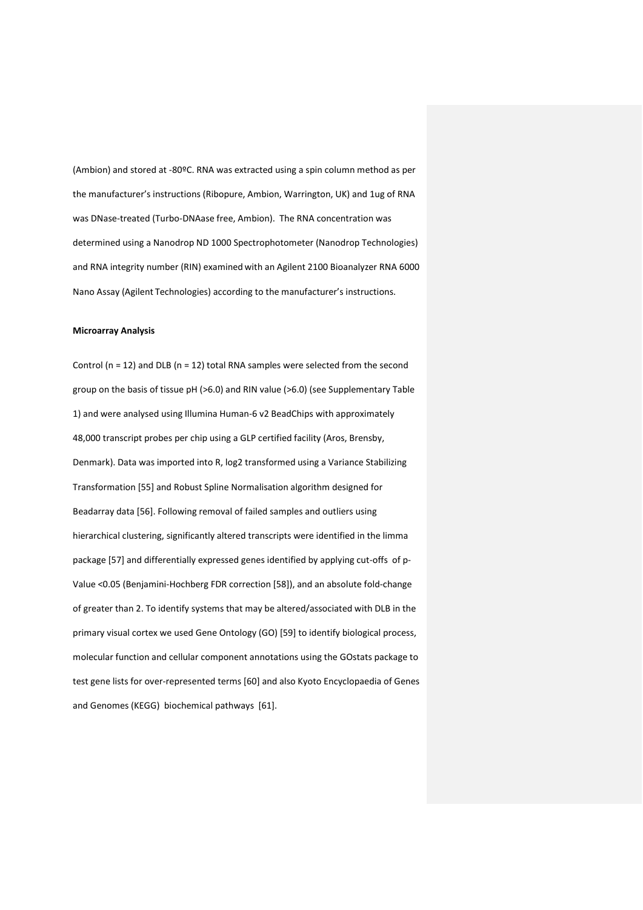(Ambion) and stored at -80ºC. RNA was extracted using a spin column method as per the manufacturer's instructions (Ribopure, Ambion, Warrington, UK) and 1ug of RNA was DNase-treated (Turbo-DNAase free, Ambion). The RNA concentration was determined using a Nanodrop ND 1000 Spectrophotometer (Nanodrop Technologies) and RNA integrity number (RIN) examined with an Agilent 2100 Bioanalyzer RNA 6000 Nano Assay (Agilent Technologies) according to the manufacturer's instructions.

# **Microarray Analysis**

Control ( $n = 12$ ) and DLB ( $n = 12$ ) total RNA samples were selected from the second group on the basis of tissue pH (>6.0) and RIN value (>6.0) (see Supplementary Table 1) and were analysed using Illumina Human-6 v2 BeadChips with approximately 48,000 transcript probes per chip using a GLP certified facility (Aros, Brensby, Denmark). Data was imported into R, log2 transformed using a Variance Stabilizing Transformation [\[55\]](#page-28-10) and Robust Spline Normalisation algorithm designed for Beadarray data [\[56\]](#page-28-11). Following removal of failed samples and outliers using hierarchical clustering, significantly altered transcripts were identified in the limma package [\[57\]](#page-28-12) and differentially expressed genes identified by applying cut-offs of p-Value <0.05 (Benjamini-Hochberg FDR correction [\[58\]](#page-28-13)), and an absolute fold-change of greater than 2. To identify systems that may be altered/associated with DLB in the primary visual cortex we used Gene Ontology (GO) [\[59\]](#page-28-14) to identify biological process, molecular function and cellular component annotations using the GOstats package to test gene lists for over-represented terms [\[60\]](#page-28-15) and also Kyoto Encyclopaedia of Genes and Genomes (KEGG) biochemical pathways [\[61\]](#page-29-0).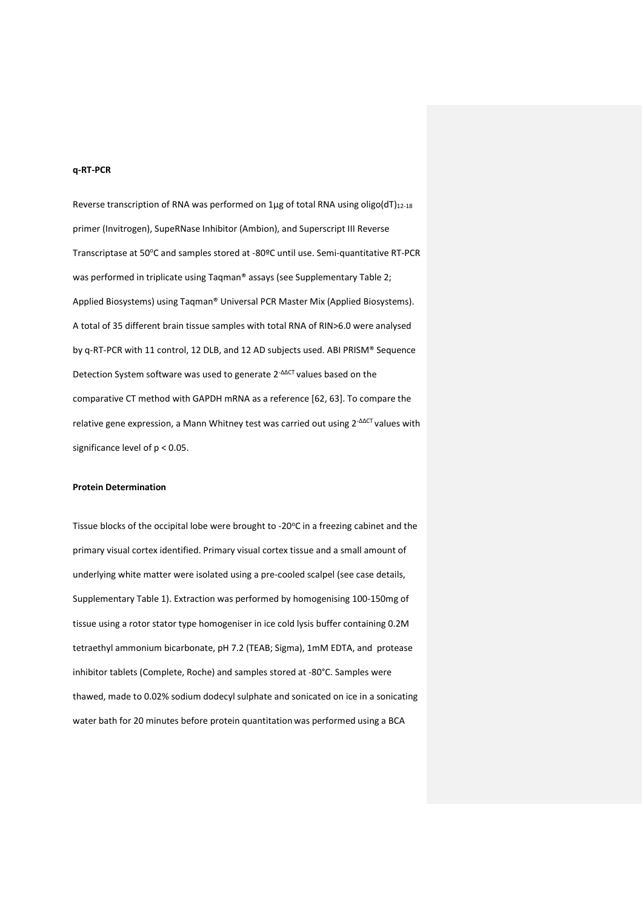# **q-RT-PCR**

Reverse transcription of RNA was performed on 1µg of total RNA using oligo(dT)<sub>12-18</sub> primer (Invitrogen), SupeRNase Inhibitor (Ambion), and Superscript III Reverse Transcriptase at 50°C and samples stored at -80°C until use. Semi-quantitative RT-PCR was performed in triplicate using Taqman® assays (see Supplementary Table 2; Applied Biosystems) using Taqman® Universal PCR Master Mix (Applied Biosystems). A total of 35 different brain tissue samples with total RNA of RIN>6.0 were analysed by q-RT-PCR with 11 control, 12 DLB, and 12 AD subjects used. ABI PRISM® Sequence Detection System software was used to generate 2-ΔΔCT values based on the comparative CT method with GAPDH mRNA as a reference [\[62,](#page-29-1) [63\]](#page-29-2). To compare the relative gene expression, a Mann Whitney test was carried out using 2<sup>-ΔΔCT</sup> values with significance level of p < 0.05.

#### **Protein Determination**

Tissue blocks of the occipital lobe were brought to -20°C in a freezing cabinet and the primary visual cortex identified. Primary visual cortex tissue and a small amount of underlying white matter were isolated using a pre-cooled scalpel (see case details, Supplementary Table 1). Extraction was performed by homogenising 100-150mg of tissue using a rotor stator type homogeniser in ice cold lysis buffer containing 0.2M tetraethyl ammonium bicarbonate, pH 7.2 (TEAB; Sigma), 1mM EDTA, and protease inhibitor tablets (Complete, Roche) and samples stored at -80°C. Samples were thawed, made to 0.02% sodium dodecyl sulphate and sonicated on ice in a sonicating water bath for 20 minutes before protein quantitation was performed using a BCA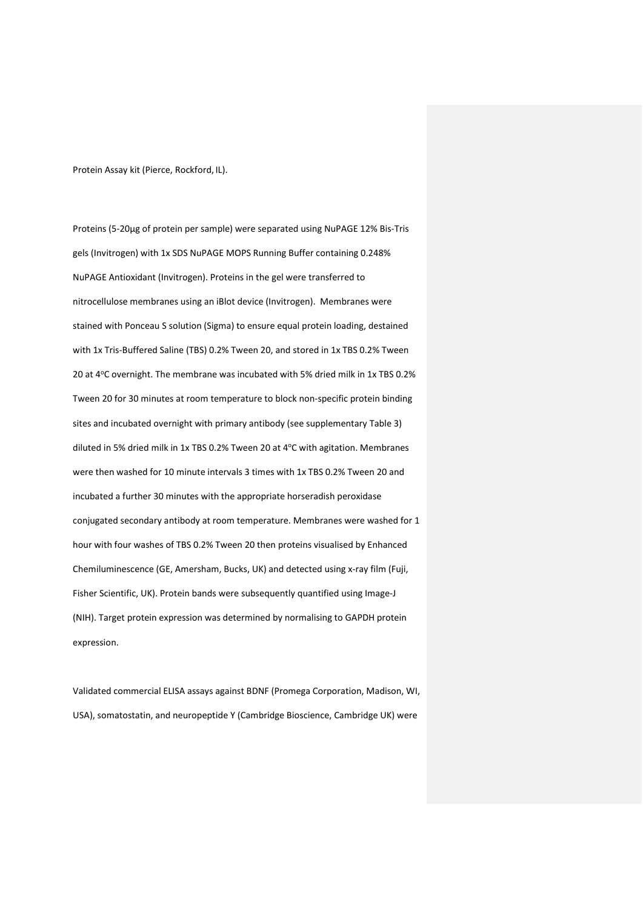Protein Assay kit (Pierce, Rockford, IL).

Proteins (5-20µg of protein per sample) were separated using NuPAGE 12% Bis-Tris gels (Invitrogen) with 1x SDS NuPAGE MOPS Running Buffer containing 0.248% NuPAGE Antioxidant (Invitrogen). Proteins in the gel were transferred to nitrocellulose membranes using an iBlot device (Invitrogen). Membranes were stained with Ponceau S solution (Sigma) to ensure equal protein loading, destained with 1x Tris-Buffered Saline (TBS) 0.2% Tween 20, and stored in 1x TBS 0.2% Tween 20 at 4°C overnight. The membrane was incubated with 5% dried milk in 1x TBS 0.2% Tween 20 for 30 minutes at room temperature to block non-specific protein binding sites and incubated overnight with primary antibody (see supplementary Table 3) diluted in 5% dried milk in 1x TBS 0.2% Tween 20 at 4°C with agitation. Membranes were then washed for 10 minute intervals 3 times with 1x TBS 0.2% Tween 20 and incubated a further 30 minutes with the appropriate horseradish peroxidase conjugated secondary antibody at room temperature. Membranes were washed for 1 hour with four washes of TBS 0.2% Tween 20 then proteins visualised by Enhanced Chemiluminescence (GE, Amersham, Bucks, UK) and detected using x-ray film (Fuji, Fisher Scientific, UK). Protein bands were subsequently quantified using Image-J (NIH). Target protein expression was determined by normalising to GAPDH protein expression.

Validated commercial ELISA assays against BDNF (Promega Corporation, Madison, WI, USA), somatostatin, and neuropeptide Y (Cambridge Bioscience, Cambridge UK) were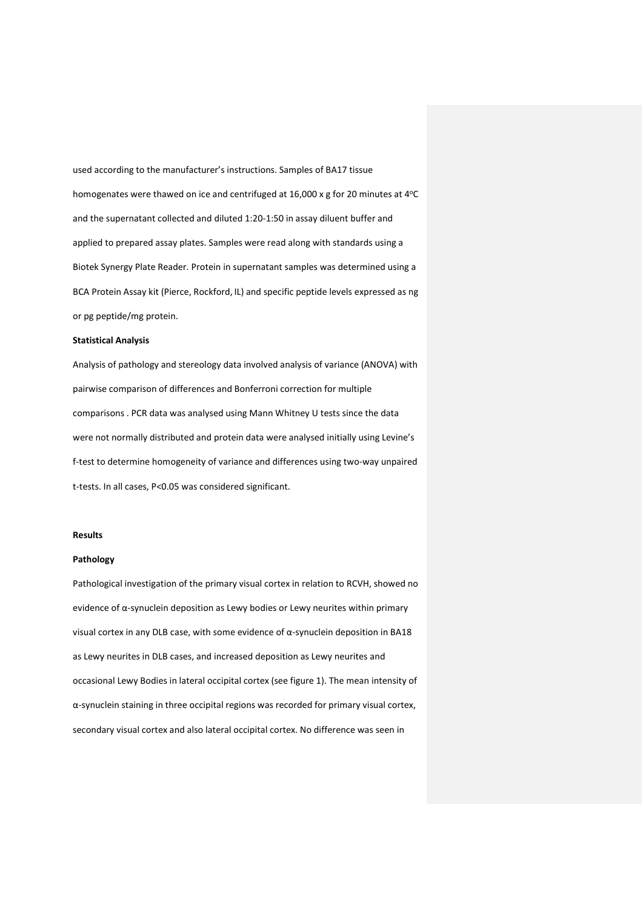used according to the manufacturer's instructions. Samples of BA17 tissue homogenates were thawed on ice and centrifuged at 16,000 x g for 20 minutes at 4°C and the supernatant collected and diluted 1:20-1:50 in assay diluent buffer and applied to prepared assay plates. Samples were read along with standards using a Biotek Synergy Plate Reader. Protein in supernatant samples was determined using a BCA Protein Assay kit (Pierce, Rockford, IL) and specific peptide levels expressed as ng or pg peptide/mg protein.

# **Statistical Analysis**

Analysis of pathology and stereology data involved analysis of variance (ANOVA) with pairwise comparison of differences and Bonferroni correction for multiple comparisons . PCR data was analysed using Mann Whitney U tests since the data were not normally distributed and protein data were analysed initially using Levine's f-test to determine homogeneity of variance and differences using two-way unpaired t-tests. In all cases, P<0.05 was considered significant.

### **Results**

#### **Pathology**

Pathological investigation of the primary visual cortex in relation to RCVH, showed no evidence of α-synuclein deposition as Lewy bodies or Lewy neurites within primary visual cortex in any DLB case, with some evidence of α-synuclein deposition in BA18 as Lewy neurites in DLB cases, and increased deposition as Lewy neurites and occasional Lewy Bodies in lateral occipital cortex (see figure 1). The mean intensity of α-synuclein staining in three occipital regions was recorded for primary visual cortex, secondary visual cortex and also lateral occipital cortex. No difference was seen in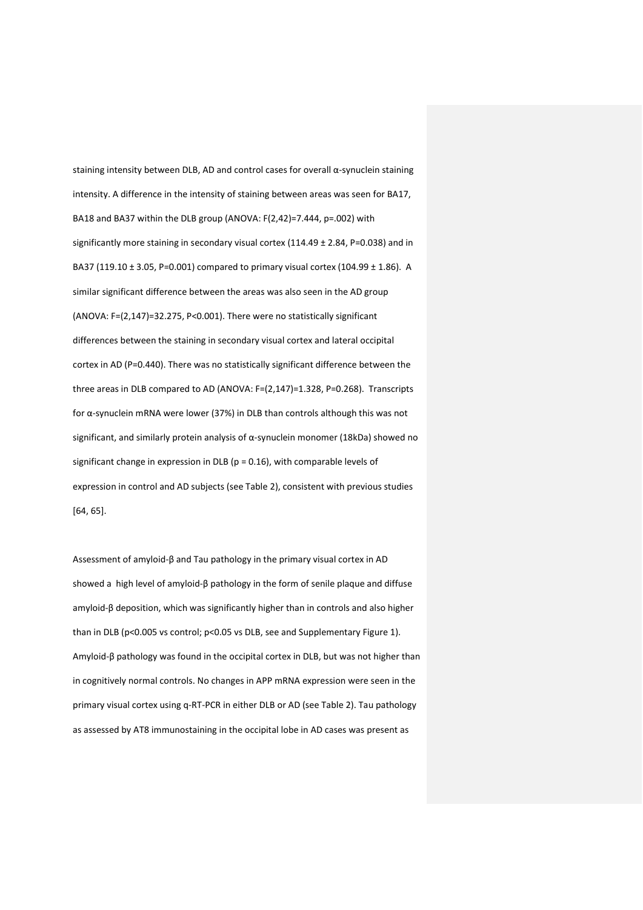staining intensity between DLB, AD and control cases for overall α-synuclein staining intensity. A difference in the intensity of staining between areas was seen for BA17, BA18 and BA37 within the DLB group (ANOVA: F(2,42)=7.444, p=.002) with significantly more staining in secondary visual cortex (114.49  $\pm$  2.84, P=0.038) and in BA37 (119.10  $\pm$  3.05, P=0.001) compared to primary visual cortex (104.99  $\pm$  1.86). A similar significant difference between the areas was also seen in the AD group (ANOVA: F=(2,147)=32.275, P<0.001). There were no statistically significant differences between the staining in secondary visual cortex and lateral occipital cortex in AD (P=0.440). There was no statistically significant difference between the three areas in DLB compared to AD (ANOVA: F=(2,147)=1.328, P=0.268). Transcripts for α-synuclein mRNA were lower (37%) in DLB than controls although this was not significant, and similarly protein analysis of α-synuclein monomer (18kDa) showed no significant change in expression in DLB ( $p = 0.16$ ), with comparable levels of expression in control and AD subjects (see Table 2), consistent with previous studies [\[64,](#page-29-3) [65\]](#page-29-4).

Assessment of amyloid-β and Tau pathology in the primary visual cortex in AD showed a high level of amyloid-β pathology in the form of senile plaque and diffuse amyloid-β deposition, which was significantly higher than in controls and also higher than in DLB (p<0.005 vs control; p<0.05 vs DLB, see and Supplementary Figure 1). Amyloid-β pathology was found in the occipital cortex in DLB, but was not higher than in cognitively normal controls. No changes in APP mRNA expression were seen in the primary visual cortex using q-RT-PCR in either DLB or AD (see Table 2). Tau pathology as assessed by AT8 immunostaining in the occipital lobe in AD cases was present as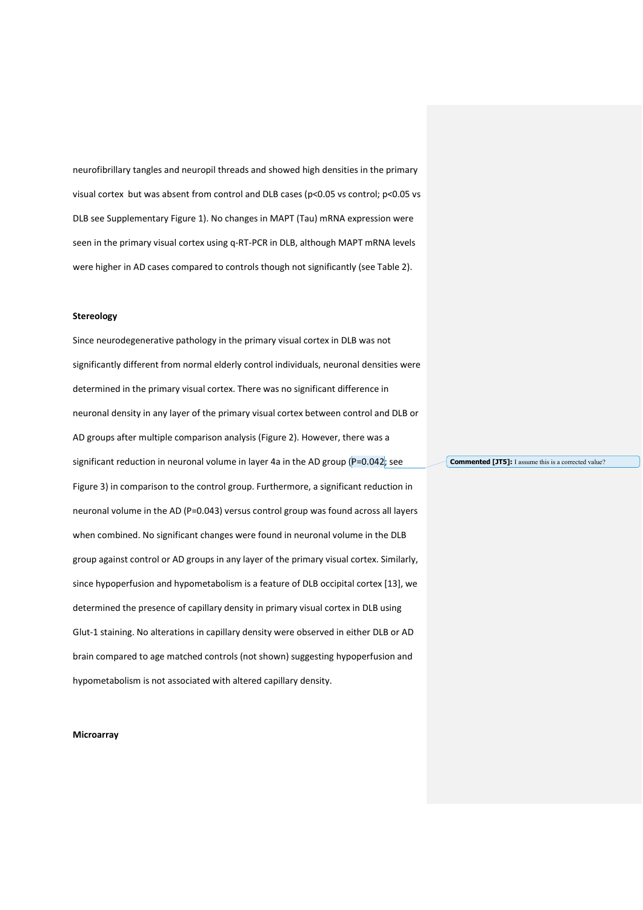neurofibrillary tangles and neuropil threads and showed high densities in the primary visual cortex but was absent from control and DLB cases (p<0.05 vs control; p<0.05 vs DLB see Supplementary Figure 1). No changes in MAPT (Tau) mRNA expression were seen in the primary visual cortex using q-RT-PCR in DLB, although MAPT mRNA levels were higher in AD cases compared to controls though not significantly (see Table 2).

# **Stereology**

Since neurodegenerative pathology in the primary visual cortex in DLB was not significantly different from normal elderly control individuals, neuronal densities were determined in the primary visual cortex. There was no significant difference in neuronal density in any layer of the primary visual cortex between control and DLB or AD groups after multiple comparison analysis (Figure 2). However, there was a significant reduction in neuronal volume in layer 4a in the AD group (P=0.042; see Figure 3) in comparison to the control group. Furthermore, a significant reduction in neuronal volume in the AD (P=0.043) versus control group was found across all layers when combined. No significant changes were found in neuronal volume in the DLB group against control or AD groups in any layer of the primary visual cortex. Similarly, since hypoperfusion and hypometabolism is a feature of DLB occipital cortex [\[13\]](#page-26-10), we determined the presence of capillary density in primary visual cortex in DLB using Glut-1 staining. No alterations in capillary density were observed in either DLB or AD brain compared to age matched controls (not shown) suggesting hypoperfusion and hypometabolism is not associated with altered capillary density.

**Commented [JT5]:** I assume this is a corrected value?

#### **Microarray**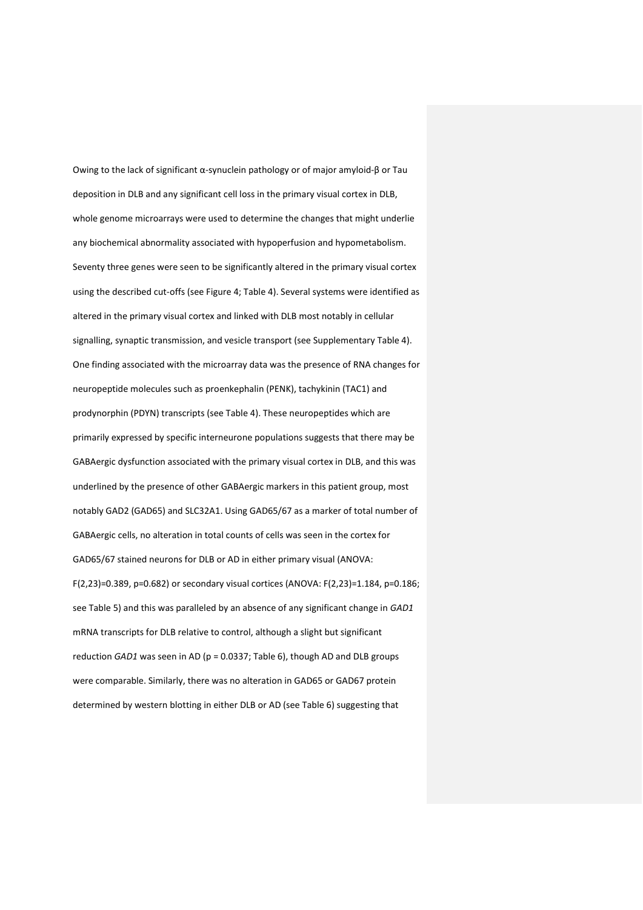Owing to the lack of significant α-synuclein pathology or of major amyloid-β or Tau deposition in DLB and any significant cell loss in the primary visual cortex in DLB, whole genome microarrays were used to determine the changes that might underlie any biochemical abnormality associated with hypoperfusion and hypometabolism. Seventy three genes were seen to be significantly altered in the primary visual cortex using the described cut-offs (see Figure 4; Table 4). Several systems were identified as altered in the primary visual cortex and linked with DLB most notably in cellular signalling, synaptic transmission, and vesicle transport (see Supplementary Table 4). One finding associated with the microarray data was the presence of RNA changes for neuropeptide molecules such as proenkephalin (PENK), tachykinin (TAC1) and prodynorphin (PDYN) transcripts (see Table 4). These neuropeptides which are primarily expressed by specific interneurone populations suggests that there may be GABAergic dysfunction associated with the primary visual cortex in DLB, and this was underlined by the presence of other GABAergic markers in this patient group, most notably GAD2 (GAD65) and SLC32A1. Using GAD65/67 as a marker of total number of GABAergic cells, no alteration in total counts of cells was seen in the cortex for GAD65/67 stained neurons for DLB or AD in either primary visual (ANOVA: F(2,23)=0.389, p=0.682) or secondary visual cortices (ANOVA: F(2,23)=1.184, p=0.186; see Table 5) and this was paralleled by an absence of any significant change in *GAD1* mRNA transcripts for DLB relative to control, although a slight but significant reduction *GAD1* was seen in AD (p = 0.0337; Table 6), though AD and DLB groups were comparable. Similarly, there was no alteration in GAD65 or GAD67 protein determined by western blotting in either DLB or AD (see Table 6) suggesting that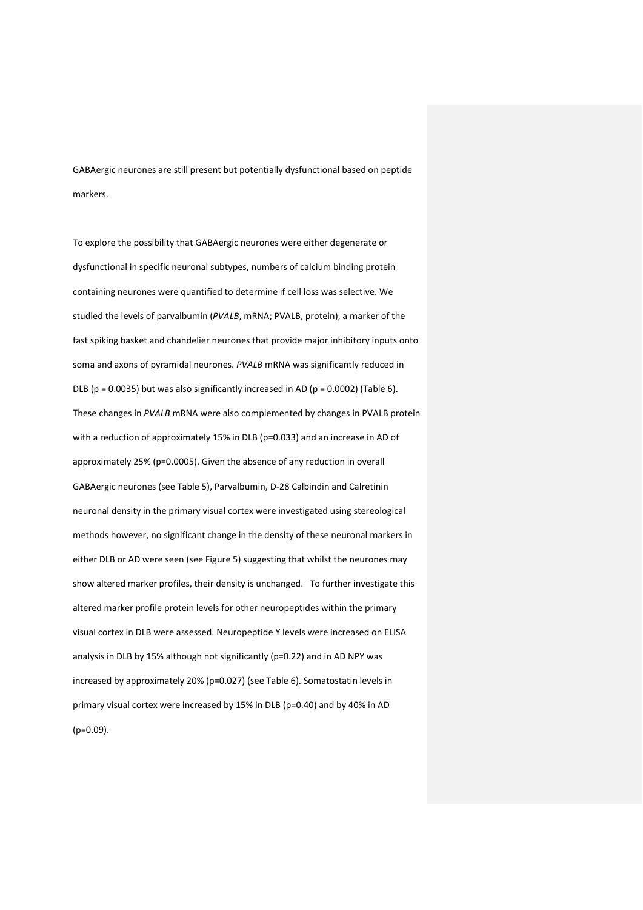GABAergic neurones are still present but potentially dysfunctional based on peptide markers.

To explore the possibility that GABAergic neurones were either degenerate or dysfunctional in specific neuronal subtypes, numbers of calcium binding protein containing neurones were quantified to determine if cell loss was selective. We studied the levels of parvalbumin (*PVALB*, mRNA; PVALB, protein), a marker of the fast spiking basket and chandelier neurones that provide major inhibitory inputs onto soma and axons of pyramidal neurones. *PVALB* mRNA was significantly reduced in DLB ( $p = 0.0035$ ) but was also significantly increased in AD ( $p = 0.0002$ ) (Table 6). These changes in *PVALB* mRNA were also complemented by changes in PVALB protein with a reduction of approximately 15% in DLB (p=0.033) and an increase in AD of approximately 25% (p=0.0005). Given the absence of any reduction in overall GABAergic neurones (see Table 5), Parvalbumin, D-28 Calbindin and Calretinin neuronal density in the primary visual cortex were investigated using stereological methods however, no significant change in the density of these neuronal markers in either DLB or AD were seen (see Figure 5) suggesting that whilst the neurones may show altered marker profiles, their density is unchanged. To further investigate this altered marker profile protein levels for other neuropeptides within the primary visual cortex in DLB were assessed. Neuropeptide Y levels were increased on ELISA analysis in DLB by 15% although not significantly (p=0.22) and in AD NPY was increased by approximately 20% (p=0.027) (see Table 6). Somatostatin levels in primary visual cortex were increased by 15% in DLB (p=0.40) and by 40% in AD (p=0.09).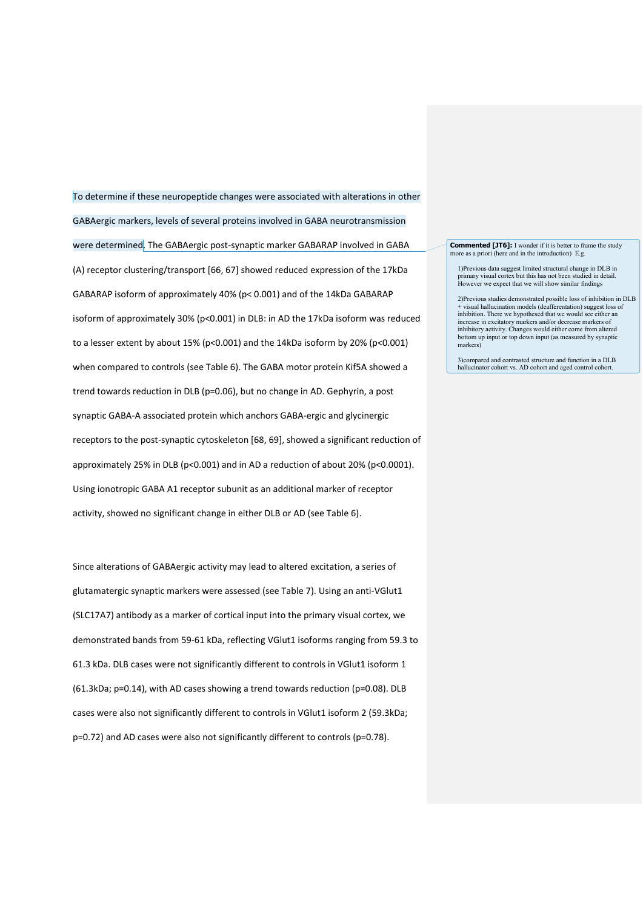To determine if these neuropeptide changes were associated with alterations in other GABAergic markers, levels of several proteins involved in GABA neurotransmission were determined. The GABAergic post-synaptic marker GABARAP involved in GABA (A) receptor clustering/transport [\[66,](#page-29-5) [67\]](#page-29-6) showed reduced expression of the 17kDa GABARAP isoform of approximately 40% (p< 0.001) and of the 14kDa GABARAP isoform of approximately 30% (p<0.001) in DLB: in AD the 17kDa isoform was reduced to a lesser extent by about 15% (p<0.001) and the 14kDa isoform by 20% (p<0.001) when compared to controls (see Table 6). The GABA motor protein Kif5A showed a trend towards reduction in DLB (p=0.06), but no change in AD. Gephyrin, a post synaptic GABA-A associated protein which anchors GABA-ergic and glycinergic receptors to the post-synaptic cytoskeleton [\[68,](#page-29-7) [69\]](#page-29-8), showed a significant reduction of approximately 25% in DLB (p<0.001) and in AD a reduction of about 20% (p<0.0001). Using ionotropic GABA A1 receptor subunit as an additional marker of receptor activity, showed no significant change in either DLB or AD (see Table 6).

Since alterations of GABAergic activity may lead to altered excitation, a series of glutamatergic synaptic markers were assessed (see Table 7). Using an anti-VGlut1 (SLC17A7) antibody as a marker of cortical input into the primary visual cortex, we demonstrated bands from 59-61 kDa, reflecting VGlut1 isoforms ranging from 59.3 to 61.3 kDa. DLB cases were not significantly different to controls in VGlut1 isoform 1 (61.3kDa; p=0.14), with AD cases showing a trend towards reduction (p=0.08). DLB cases were also not significantly different to controls in VGlut1 isoform 2 (59.3kDa; p=0.72) and AD cases were also not significantly different to controls (p=0.78).

**Commented [JT6]:** I wonder if it is better to frame the study more as a priori (here and in the introduction)  $E$  s

1)Previous data suggest limited structural change in DLB in primary visual cortex but this has not been studied in detail. However we expect that we will show similar findings

2)Previous studies demonstrated possible loss of inhibition in DLB + visual hallucination models (deafferentation) suggest loss of inhibition. There we hypothesed that we would see either an increase in excitatory markers and/or decrease markers of inhibitory activity. Changes would either come from altered bottom up input or top down input (as measured by synaptic markers)

3)compared and contrasted structure and function in a DLB hallucinator cohort vs. AD cohort and aged control cohort.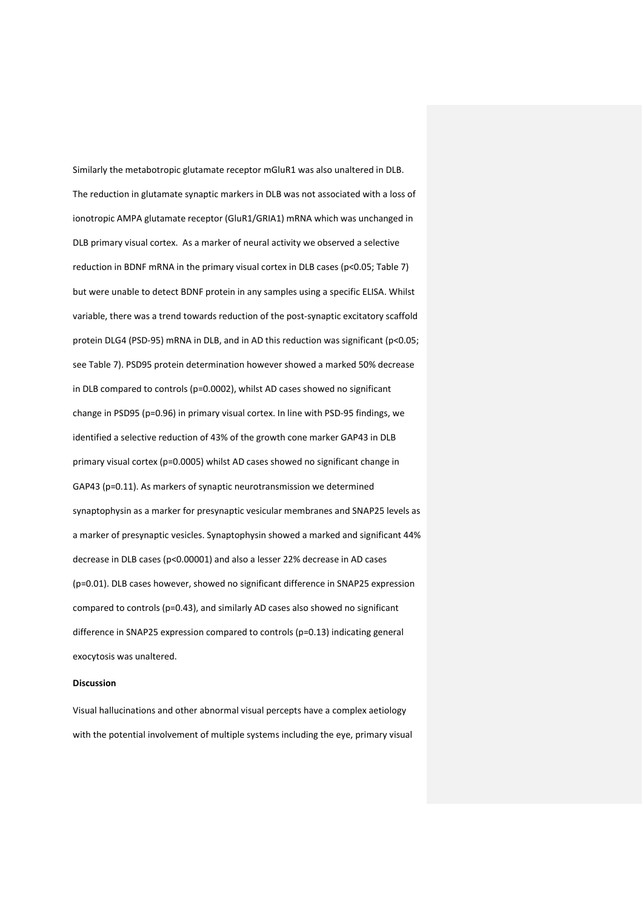Similarly the metabotropic glutamate receptor mGluR1 was also unaltered in DLB. The reduction in glutamate synaptic markers in DLB was not associated with a loss of ionotropic AMPA glutamate receptor (GluR1/GRIA1) mRNA which was unchanged in DLB primary visual cortex. As a marker of neural activity we observed a selective reduction in BDNF mRNA in the primary visual cortex in DLB cases (p<0.05; Table 7) but were unable to detect BDNF protein in any samples using a specific ELISA. Whilst variable, there was a trend towards reduction of the post-synaptic excitatory scaffold protein DLG4 (PSD-95) mRNA in DLB, and in AD this reduction was significant (p<0.05; see Table 7). PSD95 protein determination however showed a marked 50% decrease in DLB compared to controls (p=0.0002), whilst AD cases showed no significant change in PSD95 (p=0.96) in primary visual cortex. In line with PSD-95 findings, we identified a selective reduction of 43% of the growth cone marker GAP43 in DLB primary visual cortex (p=0.0005) whilst AD cases showed no significant change in GAP43 (p=0.11). As markers of synaptic neurotransmission we determined synaptophysin as a marker for presynaptic vesicular membranes and SNAP25 levels as a marker of presynaptic vesicles. Synaptophysin showed a marked and significant 44% decrease in DLB cases (p<0.00001) and also a lesser 22% decrease in AD cases (p=0.01). DLB cases however, showed no significant difference in SNAP25 expression compared to controls (p=0.43), and similarly AD cases also showed no significant difference in SNAP25 expression compared to controls (p=0.13) indicating general exocytosis was unaltered.

## **Discussion**

Visual hallucinations and other abnormal visual percepts have a complex aetiology with the potential involvement of multiple systems including the eye, primary visual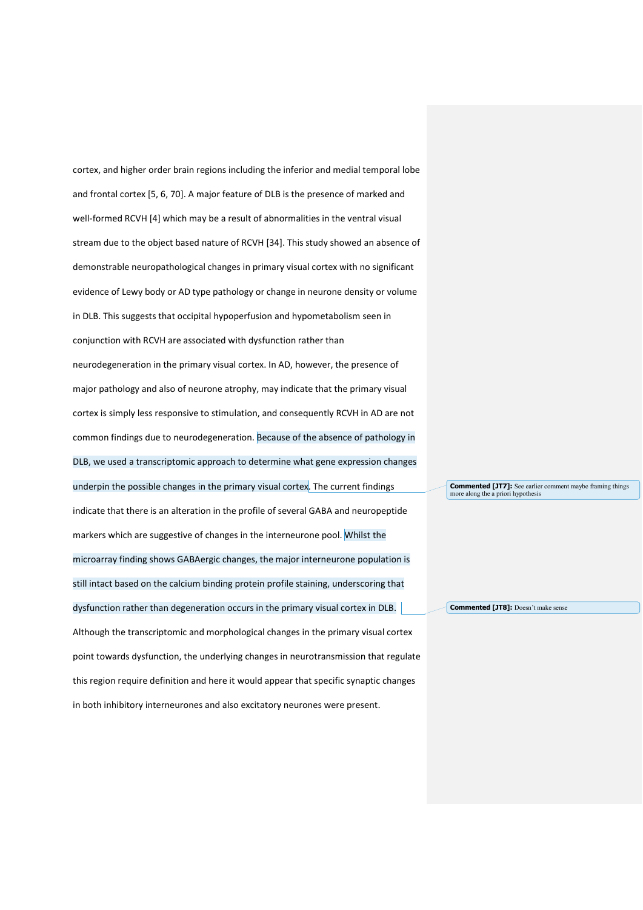cortex, and higher order brain regions including the inferior and medial temporal lobe and frontal cortex [\[5,](#page-26-4) [6,](#page-26-5) [70\]](#page-29-9). A major feature of DLB is the presence of marked and well-formed RCVH [\[4\]](#page-26-3) which may be a result of abnormalities in the ventral visual stream due to the object based nature of RCVH [\[34\]](#page-27-12). This study showed an absence of demonstrable neuropathological changes in primary visual cortex with no significant evidence of Lewy body or AD type pathology or change in neurone density or volume in DLB. This suggests that occipital hypoperfusion and hypometabolism seen in conjunction with RCVH are associated with dysfunction rather than neurodegeneration in the primary visual cortex. In AD, however, the presence of major pathology and also of neurone atrophy, may indicate that the primary visual cortex is simply less responsive to stimulation, and consequently RCVH in AD are not common findings due to neurodegeneration. Because of the absence of pathology in DLB, we used a transcriptomic approach to determine what gene expression changes underpin the possible changes in the primary visual cortex. The current findings indicate that there is an alteration in the profile of several GABA and neuropeptide markers which are suggestive of changes in the interneurone pool. Whilst the microarray finding shows GABAergic changes, the major interneurone population is still intact based on the calcium binding protein profile staining, underscoring that dysfunction rather than degeneration occurs in the primary visual cortex in DLB. Although the transcriptomic and morphological changes in the primary visual cortex point towards dysfunction, the underlying changes in neurotransmission that regulate this region require definition and here it would appear that specific synaptic changes in both inhibitory interneurones and also excitatory neurones were present.

**Commented [JT7]:** See earlier comment maybe framing things more along the a priori hypothesis

**Commented [JT8]:** Doesn't make sense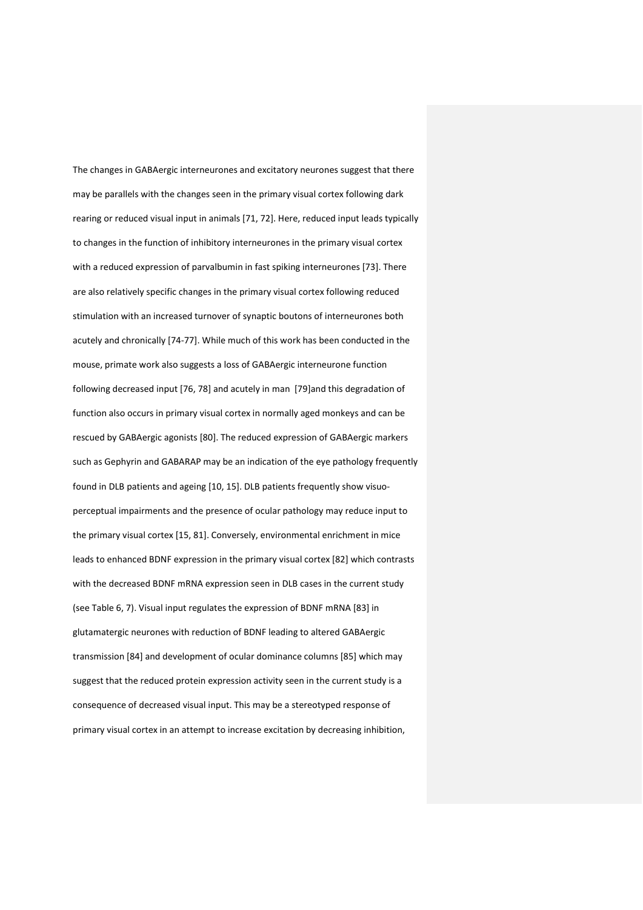The changes in GABAergic interneurones and excitatory neurones suggest that there may be parallels with the changes seen in the primary visual cortex following dark rearing or reduced visual input in animals [\[71,](#page-29-10) [72\]](#page-29-11). Here, reduced input leads typically to changes in the function of inhibitory interneurones in the primary visual cortex with a reduced expression of parvalbumin in fast spiking interneurones [\[73\]](#page-29-12). There are also relatively specific changes in the primary visual cortex following reduced stimulation with an increased turnover of synaptic boutons of interneurones both acutely and chronically [\[74-77\]](#page-29-13). While much of this work has been conducted in the mouse, primate work also suggests a loss of GABAergic interneurone function following decreased input [\[76,](#page-29-14) [78\]](#page-29-15) and acutely in man [\[79\]](#page-30-0)and this degradation of function also occurs in primary visual cortex in normally aged monkeys and can be rescued by GABAergic agonists [\[80\]](#page-30-1). The reduced expression of GABAergic markers such as Gephyrin and GABARAP may be an indication of the eye pathology frequently found in DLB patients and ageing [\[10,](#page-26-12) [15\]](#page-26-8). DLB patients frequently show visuoperceptual impairments and the presence of ocular pathology may reduce input to the primary visual cortex [\[15,](#page-26-8) [81\]](#page-30-2). Conversely, environmental enrichment in mice leads to enhanced BDNF expression in the primary visual cortex [\[82\]](#page-30-3) which contrasts with the decreased BDNF mRNA expression seen in DLB cases in the current study (see Table 6, 7). Visual input regulates the expression of BDNF mRNA [\[83\]](#page-30-4) in glutamatergic neurones with reduction of BDNF leading to altered GABAergic transmission [\[84\]](#page-30-5) and development of ocular dominance columns [\[85\]](#page-30-6) which may suggest that the reduced protein expression activity seen in the current study is a consequence of decreased visual input. This may be a stereotyped response of primary visual cortex in an attempt to increase excitation by decreasing inhibition,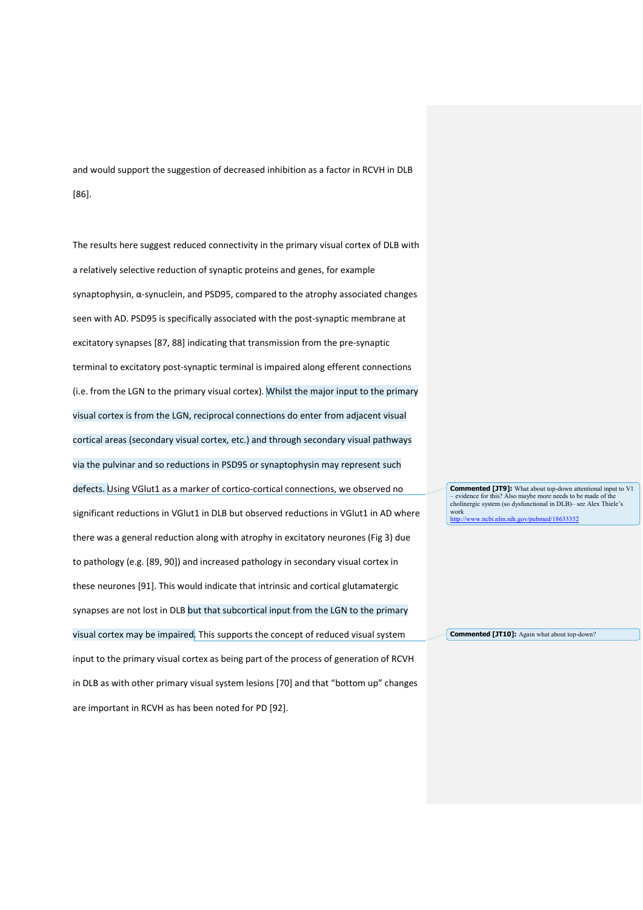and would support the suggestion of decreased inhibition as a factor in RCVH in DLB [\[86\]](#page-30-7).

The results here suggest reduced connectivity in the primary visual cortex of DLB with a relatively selective reduction of synaptic proteins and genes, for example synaptophysin, α-synuclein, and PSD95, compared to the atrophy associated changes seen with AD. PSD95 is specifically associated with the post-synaptic membrane at excitatory synapses [\[87,](#page-30-8) [88\]](#page-30-9) indicating that transmission from the pre-synaptic terminal to excitatory post-synaptic terminal is impaired along efferent connections (i.e. from the LGN to the primary visual cortex). Whilst the major input to the primary visual cortex is from the LGN, reciprocal connections do enter from adjacent visual cortical areas (secondary visual cortex, etc.) and through secondary visual pathways via the pulvinar and so reductions in PSD95 or synaptophysin may represent such defects. Using VGlut1 as a marker of cortico-cortical connections, we observed no significant reductions in VGlut1 in DLB but observed reductions in VGlut1 in AD where there was a general reduction along with atrophy in excitatory neurones (Fig 3) due to pathology (e.g. [\[89,](#page-30-10) [90\]](#page-30-11)) and increased pathology in secondary visual cortex in these neurones [\[91\]](#page-30-12). This would indicate that intrinsic and cortical glutamatergic synapses are not lost in DLB but that subcortical input from the LGN to the primary visual cortex may be impaired. This supports the concept of reduced visual system input to the primary visual cortex as being part of the process of generation of RCVH in DLB as with other primary visual system lesions [\[70\]](#page-29-9) and that "bottom up" changes are important in RCVH as has been noted for PD [\[92\]](#page-30-13).

**Commented [JT9]:** What about top-down attentional input to V1 – evidence for this? Also maybe more needs to be made of the cholinergic system (so dysfunctional in DLB)– see Alex Thiele's work  $\chi$ cbi.nlm.nih.gov/pubmed/18633352

**Commented [JT10]:** Again what about top-down?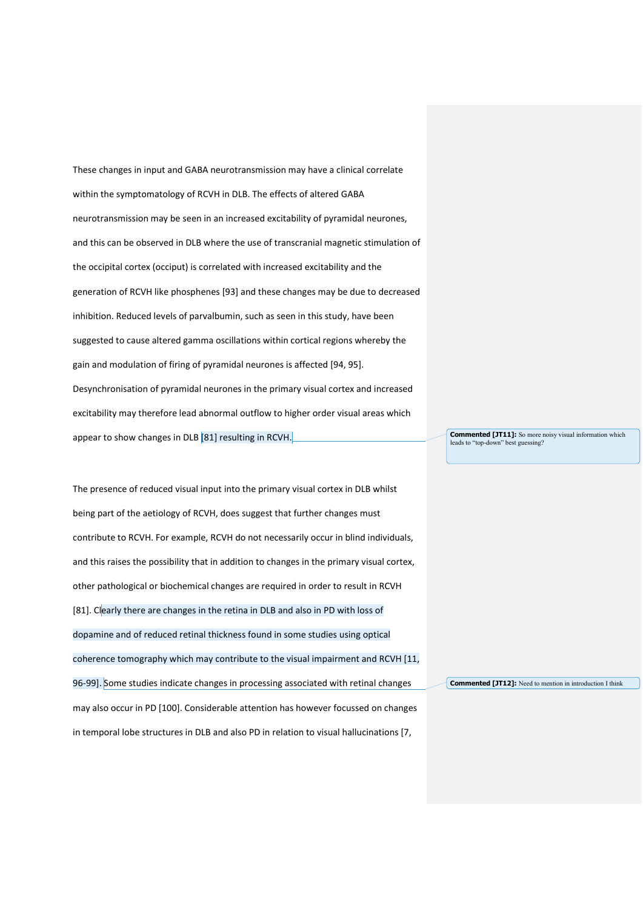These changes in input and GABA neurotransmission may have a clinical correlate within the symptomatology of RCVH in DLB. The effects of altered GABA neurotransmission may be seen in an increased excitability of pyramidal neurones, and this can be observed in DLB where the use of transcranial magnetic stimulation of the occipital cortex (occiput) is correlated with increased excitability and the generation of RCVH like phosphenes [\[93\]](#page-30-14) and these changes may be due to decreased inhibition. Reduced levels of parvalbumin, such as seen in this study, have been suggested to cause altered gamma oscillations within cortical regions whereby the gain and modulation of firing of pyramidal neurones is affected [\[94,](#page-30-15) [95\]](#page-30-16). Desynchronisation of pyramidal neurones in the primary visual cortex and increased excitability may therefore lead abnormal outflow to higher order visual areas which appear to show changes in DLB [\[81\]](#page-30-2) resulting in RCVH.

The presence of reduced visual input into the primary visual cortex in DLB whilst being part of the aetiology of RCVH, does suggest that further changes must contribute to RCVH. For example, RCVH do not necessarily occur in blind individuals, and this raises the possibility that in addition to changes in the primary visual cortex, other pathological or biochemical changes are required in order to result in RCVH [\[81\]](#page-30-2). Clearly there are changes in the retina in DLB and also in PD with loss of dopamine and of reduced retinal thickness found in some studies using optical coherence tomography which may contribute to the visual impairment and RCVH [\[11,](#page-26-13) [96-99\]](#page-30-17). Some studies indicate changes in processing associated with retinal changes may also occur in PD [\[100\]](#page-31-0). Considerable attention has however focussed on changes in temporal lobe structures in DLB and also PD in relation to visual hallucinations [\[7,](#page-26-6)

**Commented [JT11]:** So more noisy visual information which leads to "top-down" best guessing?

**Commented [JT12]:** Need to mention in introduction I think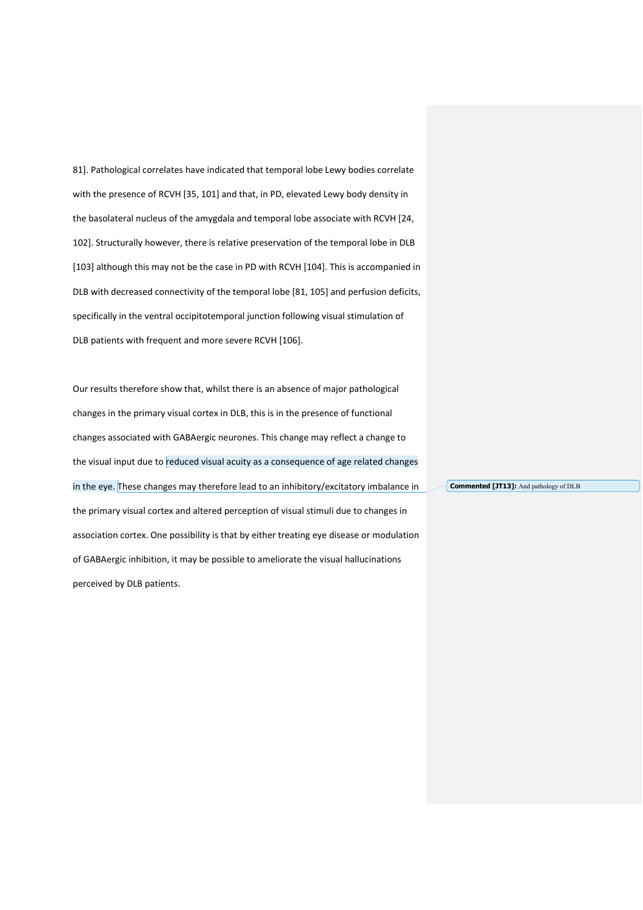[81\]](#page-30-2). Pathological correlates have indicated that temporal lobe Lewy bodies correlate with the presence of RCVH [\[35,](#page-27-13) [101\]](#page-31-1) and that, in PD, elevated Lewy body density in the basolateral nucleus of the amygdala and temporal lobe associate with RCVH [\[24,](#page-27-2) [102\]](#page-31-2). Structurally however, there is relative preservation of the temporal lobe in DLB [\[103\]](#page-31-3) although this may not be the case in PD with RCVH [\[104\]](#page-31-4). This is accompanied in DLB with decreased connectivity of the temporal lobe [\[81,](#page-30-2) [105\]](#page-31-5) and perfusion deficits, specifically in the ventral occipitotemporal junction following visual stimulation of DLB patients with frequent and more severe RCVH [\[106\]](#page-31-6).

Our results therefore show that, whilst there is an absence of major pathological changes in the primary visual cortex in DLB, this is in the presence of functional changes associated with GABAergic neurones. This change may reflect a change to the visual input due to reduced visual acuity as a consequence of age related changes in the eye. These changes may therefore lead to an inhibitory/excitatory imbalance in the primary visual cortex and altered perception of visual stimuli due to changes in association cortex. One possibility is that by either treating eye disease or modulation of GABAergic inhibition, it may be possible to ameliorate the visual hallucinations perceived by DLB patients. **Commented [JT13]:** And pathology of DLB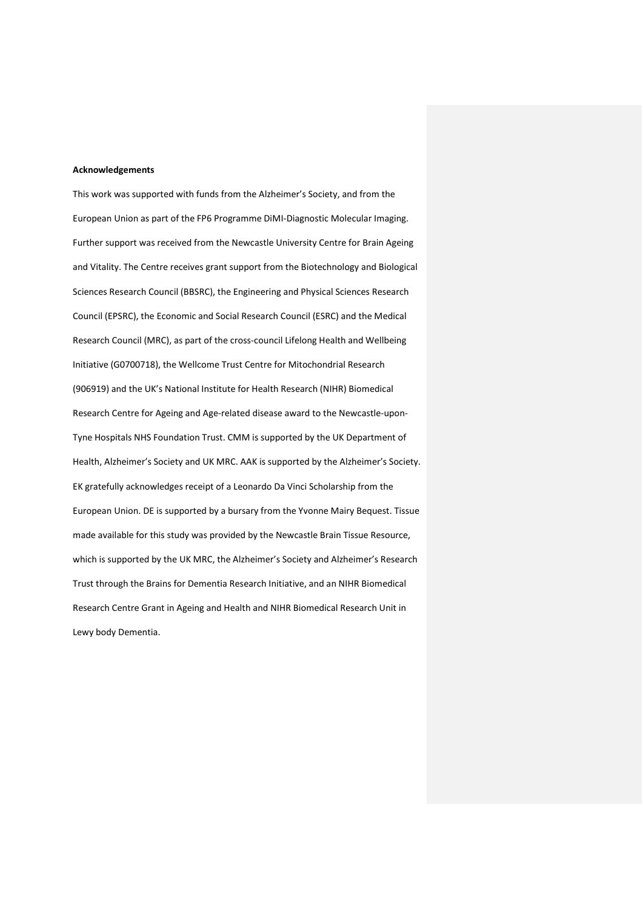### **Acknowledgements**

This work was supported with funds from the Alzheimer's Society, and from the European Union as part of the FP6 Programme DiMI-Diagnostic Molecular Imaging. Further support was received from the Newcastle University Centre for Brain Ageing and Vitality. The Centre receives grant support from the Biotechnology and Biological Sciences Research Council (BBSRC), the Engineering and Physical Sciences Research Council (EPSRC), the Economic and Social Research Council (ESRC) and the Medical Research Council (MRC), as part of the cross-council Lifelong Health and Wellbeing Initiative (G0700718), the Wellcome Trust Centre for Mitochondrial Research (906919) and the UK's National Institute for Health Research (NIHR) Biomedical Research Centre for Ageing and Age-related disease award to the Newcastle-upon-Tyne Hospitals NHS Foundation Trust. CMM is supported by the UK Department of Health, Alzheimer's Society and UK MRC. AAK is supported by the Alzheimer's Society. EK gratefully acknowledges receipt of a Leonardo Da Vinci Scholarship from the European Union. DE is supported by a bursary from the Yvonne Mairy Bequest. Tissue made available for this study was provided by the Newcastle Brain Tissue Resource, which is supported by the UK MRC, the Alzheimer's Society and Alzheimer's Research Trust through the Brains for Dementia Research Initiative, and an NIHR Biomedical Research Centre Grant in Ageing and Health and NIHR Biomedical Research Unit in Lewy body Dementia.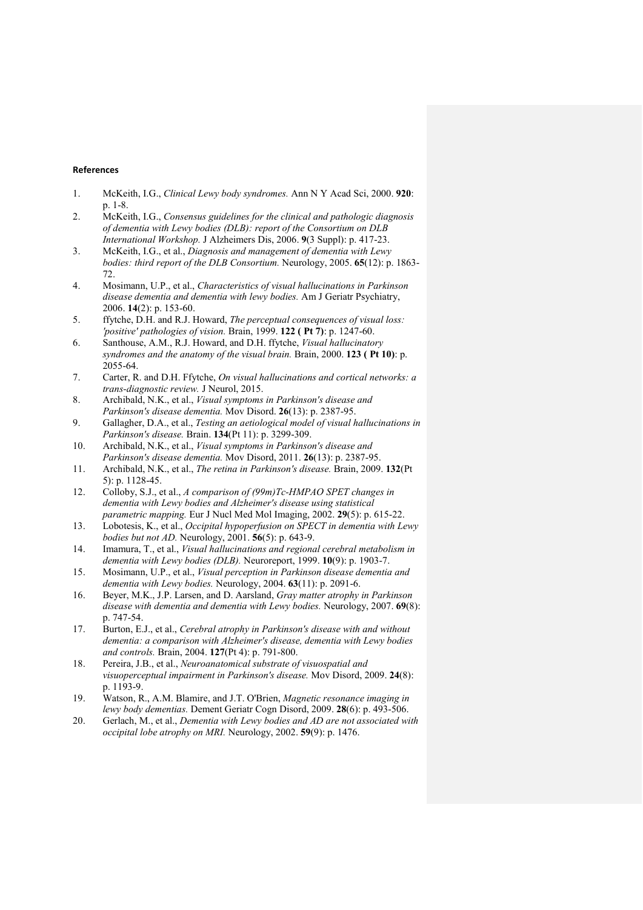# **References**

- <span id="page-26-0"></span>1. McKeith, I.G., *Clinical Lewy body syndromes.* Ann N Y Acad Sci, 2000. **920**: p. 1-8.
- <span id="page-26-1"></span>2. McKeith, I.G., *Consensus guidelines for the clinical and pathologic diagnosis of dementia with Lewy bodies (DLB): report of the Consortium on DLB International Workshop.* J Alzheimers Dis, 2006. **9**(3 Suppl): p. 417-23.
- <span id="page-26-2"></span>3. McKeith, I.G., et al., *Diagnosis and management of dementia with Lewy bodies: third report of the DLB Consortium.* Neurology, 2005. **65**(12): p. 1863- 72.
- <span id="page-26-3"></span>4. Mosimann, U.P., et al., *Characteristics of visual hallucinations in Parkinson disease dementia and dementia with lewy bodies.* Am J Geriatr Psychiatry, 2006. **14**(2): p. 153-60.
- <span id="page-26-4"></span>5. ffytche, D.H. and R.J. Howard, *The perceptual consequences of visual loss: 'positive' pathologies of vision.* Brain, 1999. **122 ( Pt 7)**: p. 1247-60.
- <span id="page-26-5"></span>6. Santhouse, A.M., R.J. Howard, and D.H. ffytche, *Visual hallucinatory syndromes and the anatomy of the visual brain.* Brain, 2000. **123 ( Pt 10)**: p. 2055-64.
- <span id="page-26-6"></span>7. Carter, R. and D.H. Ffytche, *On visual hallucinations and cortical networks: a trans-diagnostic review.* J Neurol, 2015.
- 8. Archibald, N.K., et al., *Visual symptoms in Parkinson's disease and Parkinson's disease dementia.* Mov Disord. **26**(13): p. 2387-95.
- 9. Gallagher, D.A., et al., *Testing an aetiological model of visual hallucinations in Parkinson's disease.* Brain. **134**(Pt 11): p. 3299-309.
- <span id="page-26-12"></span>10. Archibald, N.K., et al., *Visual symptoms in Parkinson's disease and Parkinson's disease dementia.* Mov Disord, 2011. **26**(13): p. 2387-95.
- <span id="page-26-13"></span>11. Archibald, N.K., et al., *The retina in Parkinson's disease.* Brain, 2009. **132**(Pt 5): p. 1128-45.
- <span id="page-26-7"></span>12. Colloby, S.J., et al., *A comparison of (99m)Tc-HMPAO SPET changes in dementia with Lewy bodies and Alzheimer's disease using statistical parametric mapping.* Eur J Nucl Med Mol Imaging, 2002. **29**(5): p. 615-22.
- <span id="page-26-10"></span>13. Lobotesis, K., et al., *Occipital hypoperfusion on SPECT in dementia with Lewy bodies but not AD.* Neurology, 2001. **56**(5): p. 643-9.
- <span id="page-26-11"></span>14. Imamura, T., et al., *Visual hallucinations and regional cerebral metabolism in dementia with Lewy bodies (DLB).* Neuroreport, 1999. **10**(9): p. 1903-7.
- <span id="page-26-8"></span>15. Mosimann, U.P., et al., *Visual perception in Parkinson disease dementia and dementia with Lewy bodies.* Neurology, 2004. **63**(11): p. 2091-6.
- <span id="page-26-9"></span>16. Beyer, M.K., J.P. Larsen, and D. Aarsland, *Gray matter atrophy in Parkinson disease with dementia and dementia with Lewy bodies.* Neurology, 2007. **69**(8): p. 747-54.
- 17. Burton, E.J., et al., *Cerebral atrophy in Parkinson's disease with and without dementia: a comparison with Alzheimer's disease, dementia with Lewy bodies and controls.* Brain, 2004. **127**(Pt 4): p. 791-800.
- 18. Pereira, J.B., et al., *Neuroanatomical substrate of visuospatial and visuoperceptual impairment in Parkinson's disease.* Mov Disord, 2009. **24**(8): p. 1193-9.
- 19. Watson, R., A.M. Blamire, and J.T. O'Brien, *Magnetic resonance imaging in lewy body dementias.* Dement Geriatr Cogn Disord, 2009. **28**(6): p. 493-506.
- 20. Gerlach, M., et al., *Dementia with Lewy bodies and AD are not associated with occipital lobe atrophy on MRI.* Neurology, 2002. **59**(9): p. 1476.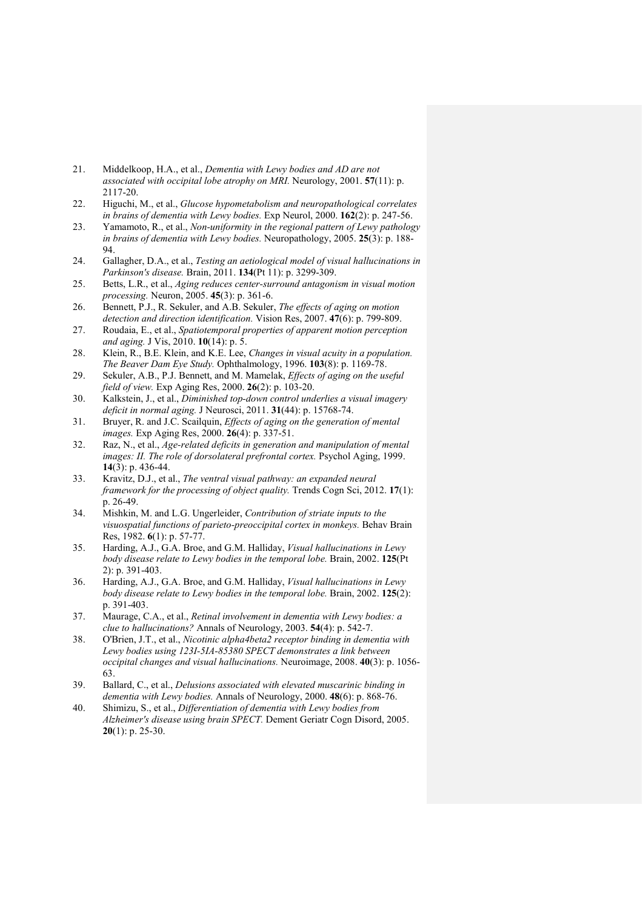- 21. Middelkoop, H.A., et al., *Dementia with Lewy bodies and AD are not associated with occipital lobe atrophy on MRI.* Neurology, 2001. **57**(11): p. 2117-20.
- <span id="page-27-0"></span>22. Higuchi, M., et al., *Glucose hypometabolism and neuropathological correlates in brains of dementia with Lewy bodies.* Exp Neurol, 2000. **162**(2): p. 247-56.
- <span id="page-27-1"></span>23. Yamamoto, R., et al., *Non-uniformity in the regional pattern of Lewy pathology in brains of dementia with Lewy bodies.* Neuropathology, 2005. **25**(3): p. 188- 94.
- <span id="page-27-2"></span>24. Gallagher, D.A., et al., *Testing an aetiological model of visual hallucinations in Parkinson's disease.* Brain, 2011. **134**(Pt 11): p. 3299-309.
- <span id="page-27-3"></span>25. Betts, L.R., et al., *Aging reduces center-surround antagonism in visual motion processing.* Neuron, 2005. **45**(3): p. 361-6.
- <span id="page-27-4"></span>26. Bennett, P.J., R. Sekuler, and A.B. Sekuler, *The effects of aging on motion detection and direction identification.* Vision Res, 2007. **47**(6): p. 799-809.
- <span id="page-27-5"></span>27. Roudaia, E., et al., *Spatiotemporal properties of apparent motion perception and aging.* J Vis, 2010. **10**(14): p. 5.
- <span id="page-27-6"></span>28. Klein, R., B.E. Klein, and K.E. Lee, *Changes in visual acuity in a population. The Beaver Dam Eye Study.* Ophthalmology, 1996. **103**(8): p. 1169-78.
- <span id="page-27-7"></span>29. Sekuler, A.B., P.J. Bennett, and M. Mamelak, *Effects of aging on the useful field of view.* Exp Aging Res, 2000. **26**(2): p. 103-20.
- <span id="page-27-8"></span>30. Kalkstein, J., et al., *Diminished top-down control underlies a visual imagery deficit in normal aging.* J Neurosci, 2011. **31**(44): p. 15768-74.
- <span id="page-27-9"></span>31. Bruyer, R. and J.C. Scailquin, *Effects of aging on the generation of mental images.* Exp Aging Res, 2000. **26**(4): p. 337-51.
- <span id="page-27-10"></span>32. Raz, N., et al., *Age-related deficits in generation and manipulation of mental images: II. The role of dorsolateral prefrontal cortex.* Psychol Aging, 1999. **14**(3): p. 436-44.
- <span id="page-27-11"></span>33. Kravitz, D.J., et al., *The ventral visual pathway: an expanded neural framework for the processing of object quality.* Trends Cogn Sci, 2012. **17**(1): p. 26-49.
- <span id="page-27-12"></span>34. Mishkin, M. and L.G. Ungerleider, *Contribution of striate inputs to the visuospatial functions of parieto-preoccipital cortex in monkeys.* Behav Brain Res, 1982. **6**(1): p. 57-77.
- <span id="page-27-13"></span>35. Harding, A.J., G.A. Broe, and G.M. Halliday, *Visual hallucinations in Lewy body disease relate to Lewy bodies in the temporal lobe.* Brain, 2002. **125**(Pt 2): p. 391-403.
- <span id="page-27-14"></span>36. Harding, A.J., G.A. Broe, and G.M. Halliday, *Visual hallucinations in Lewy body disease relate to Lewy bodies in the temporal lobe.* Brain, 2002. **125**(2): p. 391-403.
- <span id="page-27-15"></span>37. Maurage, C.A., et al., *Retinal involvement in dementia with Lewy bodies: a clue to hallucinations?* Annals of Neurology, 2003. **54**(4): p. 542-7.
- <span id="page-27-16"></span>38. O'Brien, J.T., et al., *Nicotinic alpha4beta2 receptor binding in dementia with Lewy bodies using 123I-5IA-85380 SPECT demonstrates a link between occipital changes and visual hallucinations.* Neuroimage, 2008. **40**(3): p. 1056- 63.
- <span id="page-27-17"></span>39. Ballard, C., et al., *Delusions associated with elevated muscarinic binding in dementia with Lewy bodies.* Annals of Neurology, 2000. **48**(6): p. 868-76.
- <span id="page-27-18"></span>40. Shimizu, S., et al., *Differentiation of dementia with Lewy bodies from Alzheimer's disease using brain SPECT.* Dement Geriatr Cogn Disord, 2005. **20**(1): p. 25-30.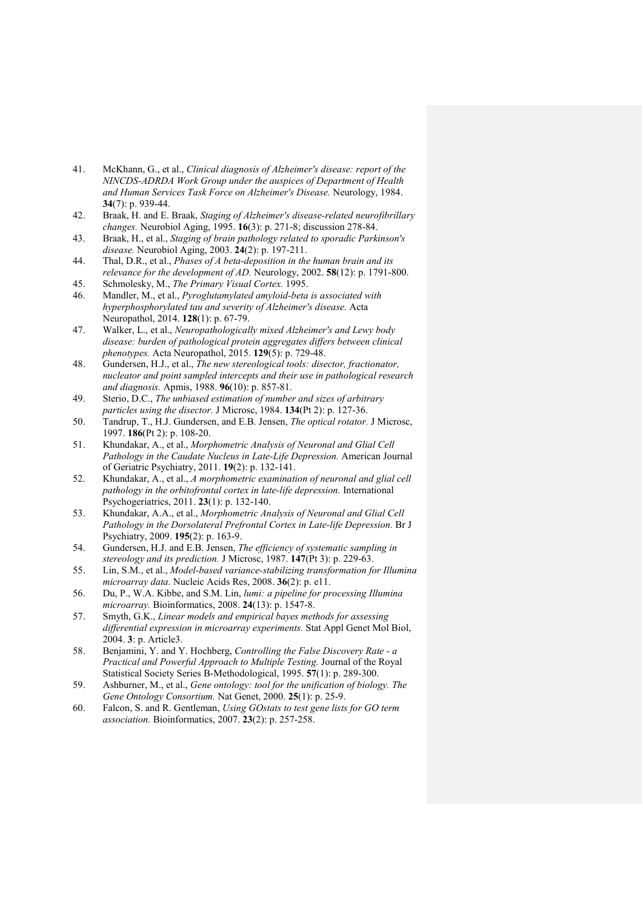- <span id="page-28-0"></span>41. McKhann, G., et al., *Clinical diagnosis of Alzheimer's disease: report of the NINCDS-ADRDA Work Group under the auspices of Department of Health and Human Services Task Force on Alzheimer's Disease.* Neurology, 1984. **34**(7): p. 939-44.
- <span id="page-28-1"></span>42. Braak, H. and E. Braak, *Staging of Alzheimer's disease-related neurofibrillary changes.* Neurobiol Aging, 1995. **16**(3): p. 271-8; discussion 278-84.
- 43. Braak, H., et al., *Staging of brain pathology related to sporadic Parkinson's disease.* Neurobiol Aging, 2003. **24**(2): p. 197-211.
- 44. Thal, D.R., et al., *Phases of A beta-deposition in the human brain and its relevance for the development of AD.* Neurology, 2002. **58**(12): p. 1791-800.
- <span id="page-28-2"></span>45. Schmolesky, M., *The Primary Visual Cortex.* 1995.
- <span id="page-28-3"></span>46. Mandler, M., et al., *Pyroglutamylated amyloid-beta is associated with hyperphosphorylated tau and severity of Alzheimer's disease.* Acta Neuropathol, 2014. **128**(1): p. 67-79.
- <span id="page-28-4"></span>47. Walker, L., et al., *Neuropathologically mixed Alzheimer's and Lewy body disease: burden of pathological protein aggregates differs between clinical phenotypes.* Acta Neuropathol, 2015. **129**(5): p. 729-48.
- <span id="page-28-5"></span>48. Gundersen, H.J., et al., *The new stereological tools: disector, fractionator, nucleator and point sampled intercepts and their use in pathological research and diagnosis.* Apmis, 1988. **96**(10): p. 857-81.
- <span id="page-28-6"></span>49. Sterio, D.C., *The unbiased estimation of number and sizes of arbitrary particles using the disector.* J Microsc, 1984. **134**(Pt 2): p. 127-36.
- <span id="page-28-7"></span>50. Tandrup, T., H.J. Gundersen, and E.B. Jensen, *The optical rotator.* J Microsc, 1997. **186**(Pt 2): p. 108-20.
- <span id="page-28-8"></span>51. Khundakar, A., et al., *Morphometric Analysis of Neuronal and Glial Cell Pathology in the Caudate Nucleus in Late-Life Depression.* American Journal of Geriatric Psychiatry, 2011. **19**(2): p. 132-141.
- 52. Khundakar, A., et al., *A morphometric examination of neuronal and glial cell pathology in the orbitofrontal cortex in late-life depression.* International Psychogeriatrics, 2011. **23**(1): p. 132-140.
- 53. Khundakar, A.A., et al., *Morphometric Analysis of Neuronal and Glial Cell Pathology in the Dorsolateral Prefrontal Cortex in Late-life Depression.* Br J Psychiatry, 2009. **195**(2): p. 163-9.
- <span id="page-28-9"></span>54. Gundersen, H.J. and E.B. Jensen, *The efficiency of systematic sampling in stereology and its prediction.* J Microsc, 1987. **147**(Pt 3): p. 229-63.
- <span id="page-28-10"></span>55. Lin, S.M., et al., *Model-based variance-stabilizing transformation for Illumina microarray data.* Nucleic Acids Res, 2008. **36**(2): p. e11.
- <span id="page-28-11"></span>56. Du, P., W.A. Kibbe, and S.M. Lin, *lumi: a pipeline for processing Illumina microarray.* Bioinformatics, 2008. **24**(13): p. 1547-8.
- <span id="page-28-12"></span>57. Smyth, G.K., *Linear models and empirical bayes methods for assessing differential expression in microarray experiments.* Stat Appl Genet Mol Biol, 2004. **3**: p. Article3.
- <span id="page-28-13"></span>58. Benjamini, Y. and Y. Hochberg, *Controlling the False Discovery Rate - a Practical and Powerful Approach to Multiple Testing.* Journal of the Royal Statistical Society Series B-Methodological, 1995. **57**(1): p. 289-300.
- <span id="page-28-14"></span>59. Ashburner, M., et al., *Gene ontology: tool for the unification of biology. The Gene Ontology Consortium.* Nat Genet, 2000. **25**(1): p. 25-9.
- <span id="page-28-15"></span>60. Falcon, S. and R. Gentleman, *Using GOstats to test gene lists for GO term association.* Bioinformatics, 2007. **23**(2): p. 257-258.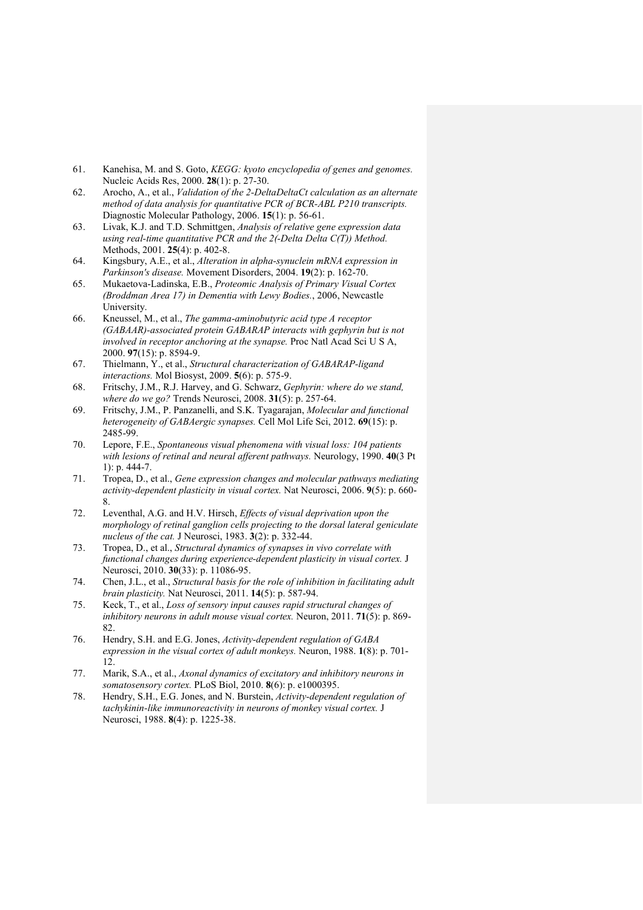- <span id="page-29-0"></span>61. Kanehisa, M. and S. Goto, *KEGG: kyoto encyclopedia of genes and genomes.* Nucleic Acids Res, 2000. **28**(1): p. 27-30.
- <span id="page-29-1"></span>62. Arocho, A., et al., *Validation of the 2-DeltaDeltaCt calculation as an alternate method of data analysis for quantitative PCR of BCR-ABL P210 transcripts.* Diagnostic Molecular Pathology, 2006. **15**(1): p. 56-61.
- <span id="page-29-2"></span>63. Livak, K.J. and T.D. Schmittgen, *Analysis of relative gene expression data using real-time quantitative PCR and the 2(-Delta Delta C(T)) Method.* Methods, 2001. **25**(4): p. 402-8.
- <span id="page-29-3"></span>64. Kingsbury, A.E., et al., *Alteration in alpha-synuclein mRNA expression in Parkinson's disease.* Movement Disorders, 2004. **19**(2): p. 162-70.
- <span id="page-29-4"></span>65. Mukaetova-Ladinska, E.B., *Proteomic Analysis of Primary Visual Cortex (Broddman Area 17) in Dementia with Lewy Bodies.*, 2006, Newcastle **University**
- <span id="page-29-5"></span>66. Kneussel, M., et al., *The gamma-aminobutyric acid type A receptor (GABAAR)-associated protein GABARAP interacts with gephyrin but is not involved in receptor anchoring at the synapse.* Proc Natl Acad Sci U S A, 2000. **97**(15): p. 8594-9.
- <span id="page-29-6"></span>67. Thielmann, Y., et al., *Structural characterization of GABARAP-ligand interactions.* Mol Biosyst, 2009. **5**(6): p. 575-9.
- <span id="page-29-7"></span>68. Fritschy, J.M., R.J. Harvey, and G. Schwarz, *Gephyrin: where do we stand, where do we go?* Trends Neurosci, 2008. **31**(5): p. 257-64.
- <span id="page-29-8"></span>69. Fritschy, J.M., P. Panzanelli, and S.K. Tyagarajan, *Molecular and functional heterogeneity of GABAergic synapses.* Cell Mol Life Sci, 2012. **69**(15): p. 2485-99.
- <span id="page-29-9"></span>70. Lepore, F.E., *Spontaneous visual phenomena with visual loss: 104 patients with lesions of retinal and neural afferent pathways.* Neurology, 1990. **40**(3 Pt 1): p. 444-7.
- <span id="page-29-10"></span>71. Tropea, D., et al., *Gene expression changes and molecular pathways mediating activity-dependent plasticity in visual cortex.* Nat Neurosci, 2006. **9**(5): p. 660- 8.
- <span id="page-29-11"></span>72. Leventhal, A.G. and H.V. Hirsch, *Effects of visual deprivation upon the morphology of retinal ganglion cells projecting to the dorsal lateral geniculate nucleus of the cat.* J Neurosci, 1983. **3**(2): p. 332-44.
- <span id="page-29-12"></span>73. Tropea, D., et al., *Structural dynamics of synapses in vivo correlate with functional changes during experience-dependent plasticity in visual cortex.* J Neurosci, 2010. **30**(33): p. 11086-95.
- <span id="page-29-13"></span>74. Chen, J.L., et al., *Structural basis for the role of inhibition in facilitating adult brain plasticity.* Nat Neurosci, 2011. **14**(5): p. 587-94.
- 75. Keck, T., et al., *Loss of sensory input causes rapid structural changes of inhibitory neurons in adult mouse visual cortex.* Neuron, 2011. **71**(5): p. 869- 82.
- <span id="page-29-14"></span>76. Hendry, S.H. and E.G. Jones, *Activity-dependent regulation of GABA expression in the visual cortex of adult monkeys.* Neuron, 1988. **1**(8): p. 701- 12.
- 77. Marik, S.A., et al., *Axonal dynamics of excitatory and inhibitory neurons in somatosensory cortex.* PLoS Biol, 2010. **8**(6): p. e1000395.
- <span id="page-29-15"></span>78. Hendry, S.H., E.G. Jones, and N. Burstein, *Activity-dependent regulation of tachykinin-like immunoreactivity in neurons of monkey visual cortex.* J Neurosci, 1988. **8**(4): p. 1225-38.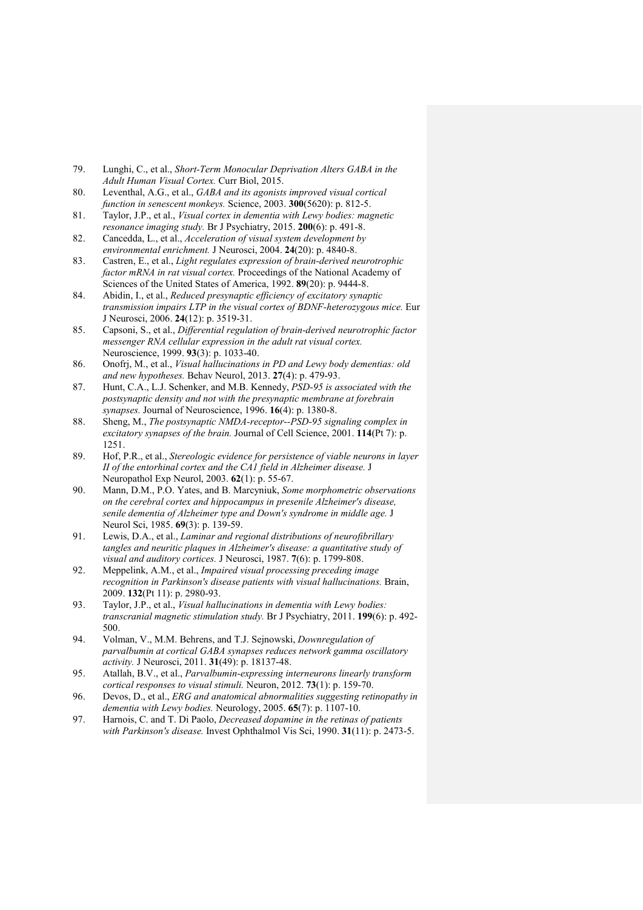- <span id="page-30-0"></span>79. Lunghi, C., et al., *Short-Term Monocular Deprivation Alters GABA in the Adult Human Visual Cortex.* Curr Biol, 2015.
- <span id="page-30-1"></span>80. Leventhal, A.G., et al., *GABA and its agonists improved visual cortical function in senescent monkeys.* Science, 2003. **300**(5620): p. 812-5.
- <span id="page-30-2"></span>81. Taylor, J.P., et al., *Visual cortex in dementia with Lewy bodies: magnetic resonance imaging study.* Br J Psychiatry, 2015. **200**(6): p. 491-8.
- <span id="page-30-3"></span>82. Cancedda, L., et al., *Acceleration of visual system development by environmental enrichment.* J Neurosci, 2004. **24**(20): p. 4840-8.
- <span id="page-30-4"></span>83. Castren, E., et al., *Light regulates expression of brain-derived neurotrophic factor mRNA in rat visual cortex.* Proceedings of the National Academy of Sciences of the United States of America, 1992. **89**(20): p. 9444-8.
- <span id="page-30-5"></span>84. Abidin, I., et al., *Reduced presynaptic efficiency of excitatory synaptic transmission impairs LTP in the visual cortex of BDNF-heterozygous mice.* Eur J Neurosci, 2006. **24**(12): p. 3519-31.
- <span id="page-30-6"></span>85. Capsoni, S., et al., *Differential regulation of brain-derived neurotrophic factor messenger RNA cellular expression in the adult rat visual cortex.* Neuroscience, 1999. **93**(3): p. 1033-40.
- <span id="page-30-7"></span>86. Onofrj, M., et al., *Visual hallucinations in PD and Lewy body dementias: old and new hypotheses.* Behav Neurol, 2013. **27**(4): p. 479-93.
- <span id="page-30-8"></span>87. Hunt, C.A., L.J. Schenker, and M.B. Kennedy, *PSD-95 is associated with the postsynaptic density and not with the presynaptic membrane at forebrain synapses.* Journal of Neuroscience, 1996. **16**(4): p. 1380-8.
- <span id="page-30-9"></span>88. Sheng, M., *The postsynaptic NMDA-receptor--PSD-95 signaling complex in excitatory synapses of the brain.* Journal of Cell Science, 2001. **114**(Pt 7): p. 1251.
- <span id="page-30-10"></span>89. Hof, P.R., et al., *Stereologic evidence for persistence of viable neurons in layer II of the entorhinal cortex and the CA1 field in Alzheimer disease.* J Neuropathol Exp Neurol, 2003. **62**(1): p. 55-67.
- <span id="page-30-11"></span>90. Mann, D.M., P.O. Yates, and B. Marcyniuk, *Some morphometric observations on the cerebral cortex and hippocampus in presenile Alzheimer's disease, senile dementia of Alzheimer type and Down's syndrome in middle age.* J Neurol Sci, 1985. **69**(3): p. 139-59.
- <span id="page-30-12"></span>91. Lewis, D.A., et al., *Laminar and regional distributions of neurofibrillary tangles and neuritic plaques in Alzheimer's disease: a quantitative study of visual and auditory cortices.* J Neurosci, 1987. **7**(6): p. 1799-808.
- <span id="page-30-13"></span>92. Meppelink, A.M., et al., *Impaired visual processing preceding image recognition in Parkinson's disease patients with visual hallucinations.* Brain, 2009. **132**(Pt 11): p. 2980-93.
- <span id="page-30-14"></span>93. Taylor, J.P., et al., *Visual hallucinations in dementia with Lewy bodies: transcranial magnetic stimulation study.* Br J Psychiatry, 2011. **199**(6): p. 492- 500.
- <span id="page-30-15"></span>94. Volman, V., M.M. Behrens, and T.J. Sejnowski, *Downregulation of parvalbumin at cortical GABA synapses reduces network gamma oscillatory activity.* J Neurosci, 2011. **31**(49): p. 18137-48.
- <span id="page-30-16"></span>95. Atallah, B.V., et al., *Parvalbumin-expressing interneurons linearly transform cortical responses to visual stimuli.* Neuron, 2012. **73**(1): p. 159-70.
- <span id="page-30-17"></span>96. Devos, D., et al., *ERG and anatomical abnormalities suggesting retinopathy in dementia with Lewy bodies.* Neurology, 2005. **65**(7): p. 1107-10.
- 97. Harnois, C. and T. Di Paolo, *Decreased dopamine in the retinas of patients with Parkinson's disease.* Invest Ophthalmol Vis Sci, 1990. **31**(11): p. 2473-5.